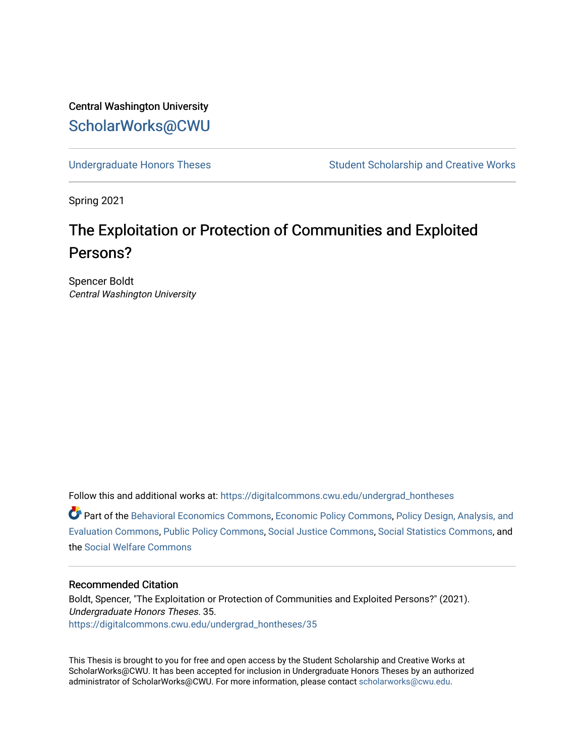Central Washington University [ScholarWorks@CWU](https://digitalcommons.cwu.edu/) 

[Undergraduate Honors Theses](https://digitalcommons.cwu.edu/undergrad_hontheses) Student Scholarship and Creative Works

Spring 2021

# The Exploitation or Protection of Communities and Exploited Persons?

Spencer Boldt Central Washington University

Follow this and additional works at: [https://digitalcommons.cwu.edu/undergrad\\_hontheses](https://digitalcommons.cwu.edu/undergrad_hontheses?utm_source=digitalcommons.cwu.edu%2Fundergrad_hontheses%2F35&utm_medium=PDF&utm_campaign=PDFCoverPages) 

Part of the [Behavioral Economics Commons](http://network.bepress.com/hgg/discipline/341?utm_source=digitalcommons.cwu.edu%2Fundergrad_hontheses%2F35&utm_medium=PDF&utm_campaign=PDFCoverPages), [Economic Policy Commons,](http://network.bepress.com/hgg/discipline/1025?utm_source=digitalcommons.cwu.edu%2Fundergrad_hontheses%2F35&utm_medium=PDF&utm_campaign=PDFCoverPages) [Policy Design, Analysis, and](http://network.bepress.com/hgg/discipline/1032?utm_source=digitalcommons.cwu.edu%2Fundergrad_hontheses%2F35&utm_medium=PDF&utm_campaign=PDFCoverPages)  [Evaluation Commons,](http://network.bepress.com/hgg/discipline/1032?utm_source=digitalcommons.cwu.edu%2Fundergrad_hontheses%2F35&utm_medium=PDF&utm_campaign=PDFCoverPages) [Public Policy Commons](http://network.bepress.com/hgg/discipline/400?utm_source=digitalcommons.cwu.edu%2Fundergrad_hontheses%2F35&utm_medium=PDF&utm_campaign=PDFCoverPages), [Social Justice Commons,](http://network.bepress.com/hgg/discipline/1432?utm_source=digitalcommons.cwu.edu%2Fundergrad_hontheses%2F35&utm_medium=PDF&utm_campaign=PDFCoverPages) [Social Statistics Commons,](http://network.bepress.com/hgg/discipline/1275?utm_source=digitalcommons.cwu.edu%2Fundergrad_hontheses%2F35&utm_medium=PDF&utm_campaign=PDFCoverPages) and the [Social Welfare Commons](http://network.bepress.com/hgg/discipline/401?utm_source=digitalcommons.cwu.edu%2Fundergrad_hontheses%2F35&utm_medium=PDF&utm_campaign=PDFCoverPages) 

# Recommended Citation

Boldt, Spencer, "The Exploitation or Protection of Communities and Exploited Persons?" (2021). Undergraduate Honors Theses. 35. [https://digitalcommons.cwu.edu/undergrad\\_hontheses/35](https://digitalcommons.cwu.edu/undergrad_hontheses/35?utm_source=digitalcommons.cwu.edu%2Fundergrad_hontheses%2F35&utm_medium=PDF&utm_campaign=PDFCoverPages) 

This Thesis is brought to you for free and open access by the Student Scholarship and Creative Works at ScholarWorks@CWU. It has been accepted for inclusion in Undergraduate Honors Theses by an authorized administrator of ScholarWorks@CWU. For more information, please contact [scholarworks@cwu.edu](mailto:scholarworks@cwu.edu).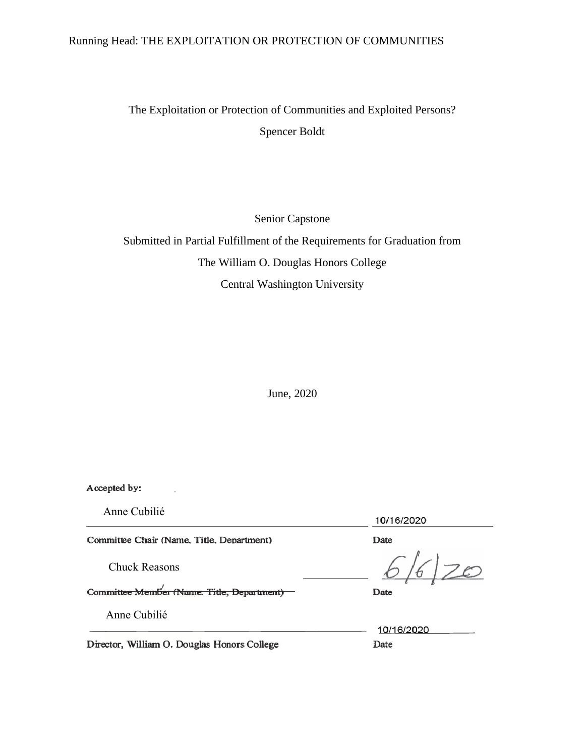# Running Head: THE EXPLOITATION OR PROTECTION OF COMMUNITIES

The Exploitation or Protection of Communities and Exploited Persons? Spencer Boldt

Senior Capstone

Submitted in Partial Fulfillment of the Requirements for Graduation from The William O. Douglas Honors College Central Washington University

June, 2020

Accepted by:

Anne Cubilié

Committee Chair (Name, Title, Department)

Chuck Reasons

Committee Member (Name, Title, Department) -

Anne Cubilié

Director, William O. Douglas Honors College

10/16/2020

Date

|20

Date

10/16/2020 Date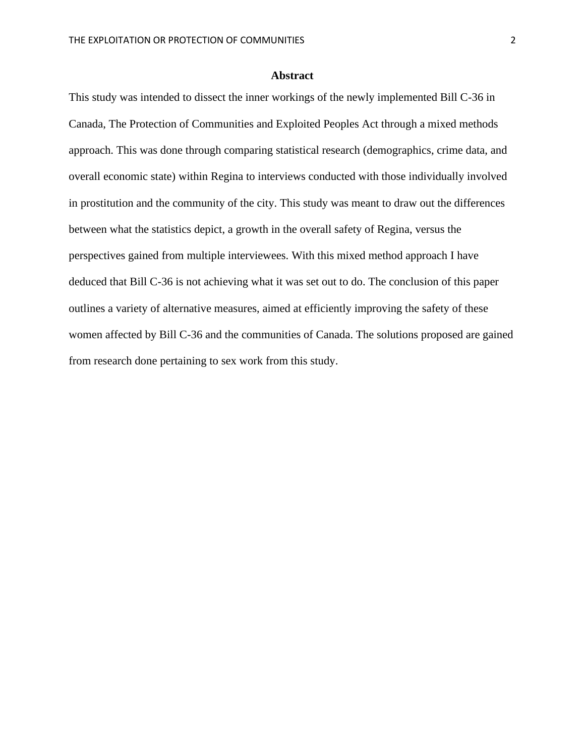# **Abstract**

This study was intended to dissect the inner workings of the newly implemented Bill C-36 in Canada, The Protection of Communities and Exploited Peoples Act through a mixed methods approach. This was done through comparing statistical research (demographics, crime data, and overall economic state) within Regina to interviews conducted with those individually involved in prostitution and the community of the city. This study was meant to draw out the differences between what the statistics depict, a growth in the overall safety of Regina, versus the perspectives gained from multiple interviewees. With this mixed method approach I have deduced that Bill C-36 is not achieving what it was set out to do. The conclusion of this paper outlines a variety of alternative measures, aimed at efficiently improving the safety of these women affected by Bill C-36 and the communities of Canada. The solutions proposed are gained from research done pertaining to sex work from this study.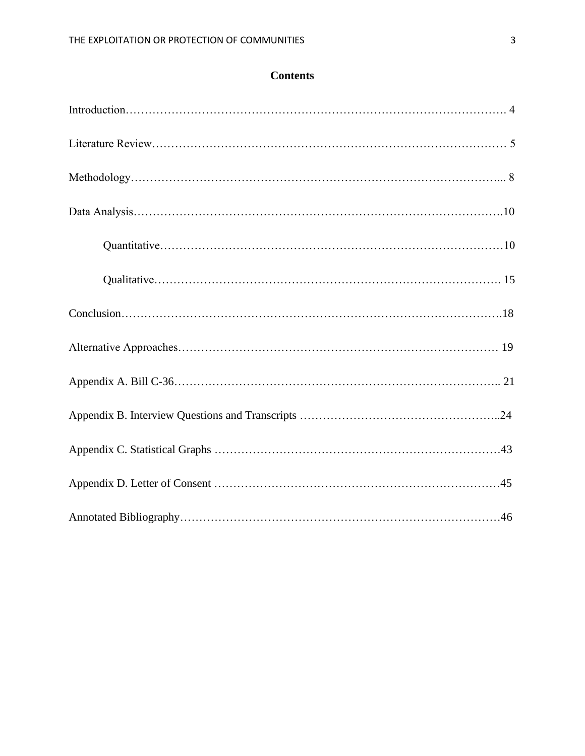# **Contents**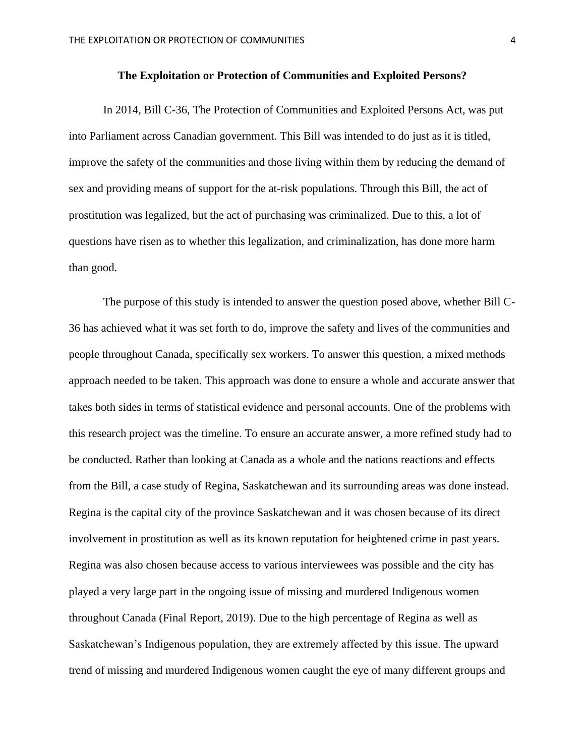#### **The Exploitation or Protection of Communities and Exploited Persons?**

In 2014, Bill C-36, The Protection of Communities and Exploited Persons Act, was put into Parliament across Canadian government. This Bill was intended to do just as it is titled, improve the safety of the communities and those living within them by reducing the demand of sex and providing means of support for the at-risk populations. Through this Bill, the act of prostitution was legalized, but the act of purchasing was criminalized. Due to this, a lot of questions have risen as to whether this legalization, and criminalization, has done more harm than good.

The purpose of this study is intended to answer the question posed above, whether Bill C-36 has achieved what it was set forth to do, improve the safety and lives of the communities and people throughout Canada, specifically sex workers. To answer this question, a mixed methods approach needed to be taken. This approach was done to ensure a whole and accurate answer that takes both sides in terms of statistical evidence and personal accounts. One of the problems with this research project was the timeline. To ensure an accurate answer, a more refined study had to be conducted. Rather than looking at Canada as a whole and the nations reactions and effects from the Bill, a case study of Regina, Saskatchewan and its surrounding areas was done instead. Regina is the capital city of the province Saskatchewan and it was chosen because of its direct involvement in prostitution as well as its known reputation for heightened crime in past years. Regina was also chosen because access to various interviewees was possible and the city has played a very large part in the ongoing issue of missing and murdered Indigenous women throughout Canada (Final Report, 2019). Due to the high percentage of Regina as well as Saskatchewan's Indigenous population, they are extremely affected by this issue. The upward trend of missing and murdered Indigenous women caught the eye of many different groups and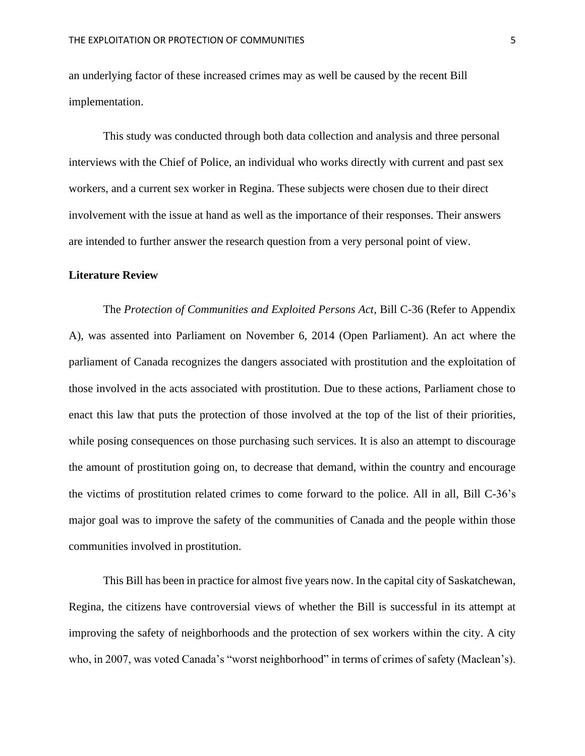an underlying factor of these increased crimes may as well be caused by the recent Bill implementation.

This study was conducted through both data collection and analysis and three personal interviews with the Chief of Police, an individual who works directly with current and past sex workers, and a current sex worker in Regina. These subjects were chosen due to their direct involvement with the issue at hand as well as the importance of their responses. Their answers are intended to further answer the research question from a very personal point of view.

#### **Literature Review**

The *Protection of Communities and Exploited Persons Act*, Bill C-36 (Refer to Appendix A), was assented into Parliament on November 6, 2014 (Open Parliament). An act where the parliament of Canada recognizes the dangers associated with prostitution and the exploitation of those involved in the acts associated with prostitution. Due to these actions, Parliament chose to enact this law that puts the protection of those involved at the top of the list of their priorities, while posing consequences on those purchasing such services. It is also an attempt to discourage the amount of prostitution going on, to decrease that demand, within the country and encourage the victims of prostitution related crimes to come forward to the police. All in all, Bill C-36's major goal was to improve the safety of the communities of Canada and the people within those communities involved in prostitution.

This Bill has been in practice for almost five years now. In the capital city of Saskatchewan, Regina, the citizens have controversial views of whether the Bill is successful in its attempt at improving the safety of neighborhoods and the protection of sex workers within the city. A city who, in 2007, was voted Canada's "worst neighborhood" in terms of crimes of safety (Maclean's).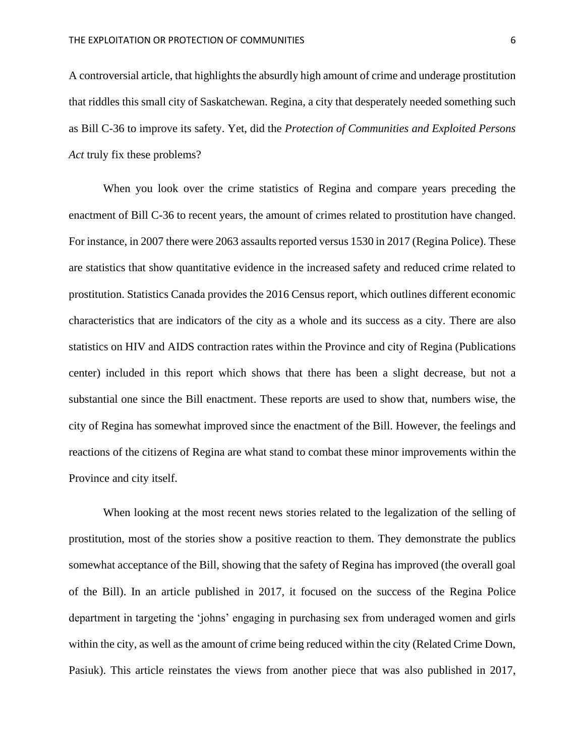A controversial article, that highlights the absurdly high amount of crime and underage prostitution that riddles this small city of Saskatchewan. Regina, a city that desperately needed something such as Bill C-36 to improve its safety. Yet, did the *Protection of Communities and Exploited Persons Act* truly fix these problems?

When you look over the crime statistics of Regina and compare years preceding the enactment of Bill C-36 to recent years, the amount of crimes related to prostitution have changed. For instance, in 2007 there were 2063 assaults reported versus 1530 in 2017 (Regina Police). These are statistics that show quantitative evidence in the increased safety and reduced crime related to prostitution. Statistics Canada provides the 2016 Census report, which outlines different economic characteristics that are indicators of the city as a whole and its success as a city. There are also statistics on HIV and AIDS contraction rates within the Province and city of Regina (Publications center) included in this report which shows that there has been a slight decrease, but not a substantial one since the Bill enactment. These reports are used to show that, numbers wise, the city of Regina has somewhat improved since the enactment of the Bill. However, the feelings and reactions of the citizens of Regina are what stand to combat these minor improvements within the Province and city itself.

When looking at the most recent news stories related to the legalization of the selling of prostitution, most of the stories show a positive reaction to them. They demonstrate the publics somewhat acceptance of the Bill, showing that the safety of Regina has improved (the overall goal of the Bill). In an article published in 2017, it focused on the success of the Regina Police department in targeting the 'johns' engaging in purchasing sex from underaged women and girls within the city, as well as the amount of crime being reduced within the city (Related Crime Down, Pasiuk). This article reinstates the views from another piece that was also published in 2017,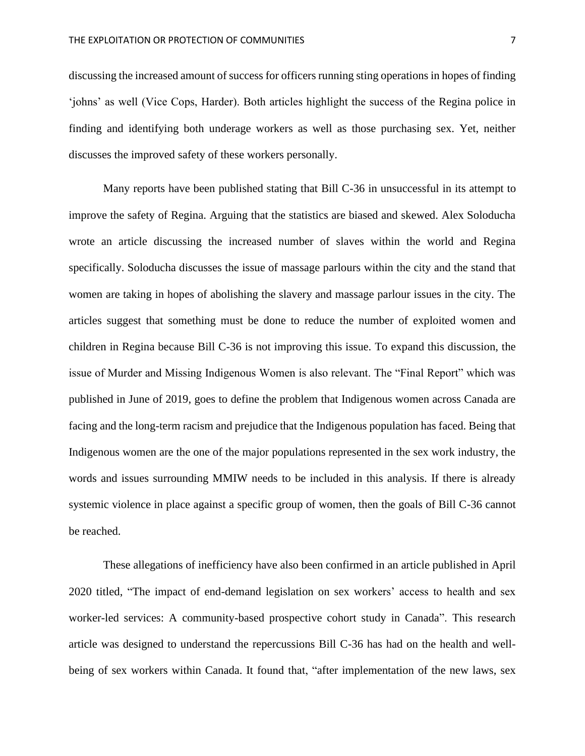discussing the increased amount of success for officers running sting operations in hopes of finding 'johns' as well (Vice Cops, Harder). Both articles highlight the success of the Regina police in finding and identifying both underage workers as well as those purchasing sex. Yet, neither discusses the improved safety of these workers personally.

Many reports have been published stating that Bill C-36 in unsuccessful in its attempt to improve the safety of Regina. Arguing that the statistics are biased and skewed. Alex Soloducha wrote an article discussing the increased number of slaves within the world and Regina specifically. Soloducha discusses the issue of massage parlours within the city and the stand that women are taking in hopes of abolishing the slavery and massage parlour issues in the city. The articles suggest that something must be done to reduce the number of exploited women and children in Regina because Bill C-36 is not improving this issue. To expand this discussion, the issue of Murder and Missing Indigenous Women is also relevant. The "Final Report" which was published in June of 2019, goes to define the problem that Indigenous women across Canada are facing and the long-term racism and prejudice that the Indigenous population has faced. Being that Indigenous women are the one of the major populations represented in the sex work industry, the words and issues surrounding MMIW needs to be included in this analysis. If there is already systemic violence in place against a specific group of women, then the goals of Bill C-36 cannot be reached.

These allegations of inefficiency have also been confirmed in an article published in April 2020 titled, "The impact of end-demand legislation on sex workers' access to health and sex worker-led services: A community-based prospective cohort study in Canada". This research article was designed to understand the repercussions Bill C-36 has had on the health and wellbeing of sex workers within Canada. It found that, "after implementation of the new laws, sex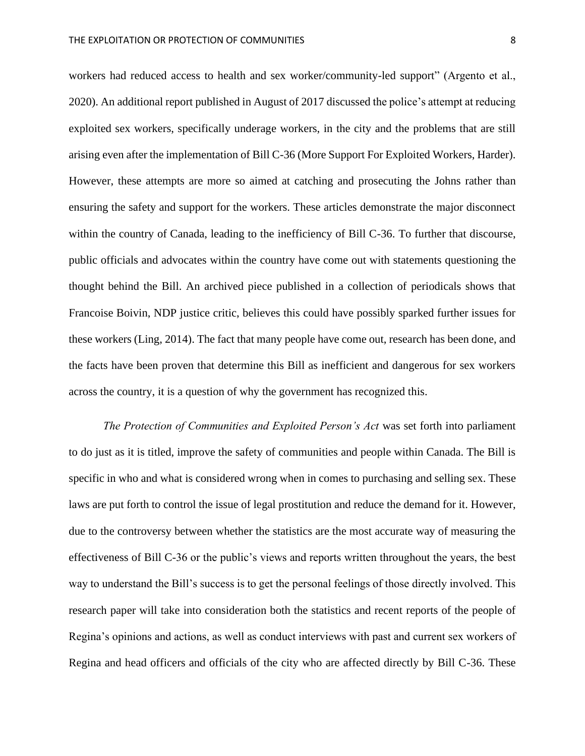workers had reduced access to health and sex worker/community-led support" (Argento et al., 2020). An additional report published in August of 2017 discussed the police's attempt at reducing exploited sex workers, specifically underage workers, in the city and the problems that are still arising even after the implementation of Bill C-36 (More Support For Exploited Workers, Harder). However, these attempts are more so aimed at catching and prosecuting the Johns rather than ensuring the safety and support for the workers. These articles demonstrate the major disconnect within the country of Canada, leading to the inefficiency of Bill C-36. To further that discourse, public officials and advocates within the country have come out with statements questioning the thought behind the Bill. An archived piece published in a collection of periodicals shows that Francoise Boivin, NDP justice critic, believes this could have possibly sparked further issues for these workers (Ling, 2014). The fact that many people have come out, research has been done, and the facts have been proven that determine this Bill as inefficient and dangerous for sex workers across the country, it is a question of why the government has recognized this.

*The Protection of Communities and Exploited Person's Act* was set forth into parliament to do just as it is titled, improve the safety of communities and people within Canada. The Bill is specific in who and what is considered wrong when in comes to purchasing and selling sex. These laws are put forth to control the issue of legal prostitution and reduce the demand for it. However, due to the controversy between whether the statistics are the most accurate way of measuring the effectiveness of Bill C-36 or the public's views and reports written throughout the years, the best way to understand the Bill's success is to get the personal feelings of those directly involved. This research paper will take into consideration both the statistics and recent reports of the people of Regina's opinions and actions, as well as conduct interviews with past and current sex workers of Regina and head officers and officials of the city who are affected directly by Bill C-36. These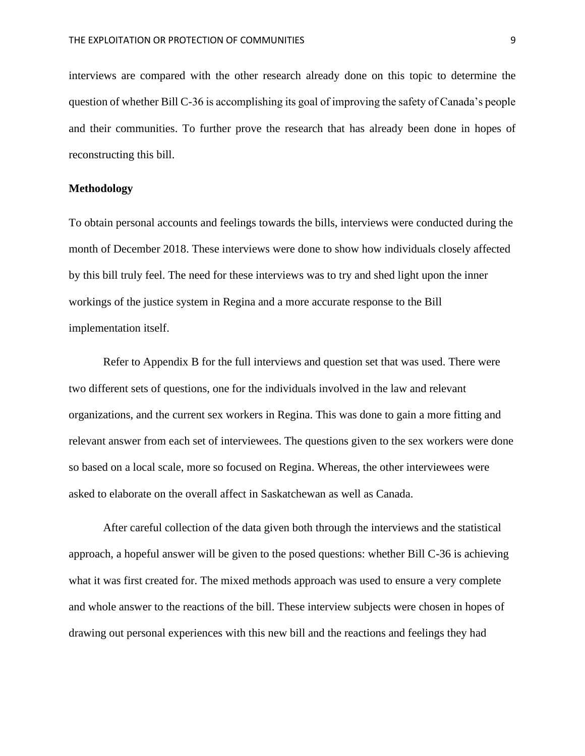interviews are compared with the other research already done on this topic to determine the question of whether Bill C-36 is accomplishing its goal of improving the safety of Canada's people and their communities. To further prove the research that has already been done in hopes of reconstructing this bill.

# **Methodology**

To obtain personal accounts and feelings towards the bills, interviews were conducted during the month of December 2018. These interviews were done to show how individuals closely affected by this bill truly feel. The need for these interviews was to try and shed light upon the inner workings of the justice system in Regina and a more accurate response to the Bill implementation itself.

Refer to Appendix B for the full interviews and question set that was used. There were two different sets of questions, one for the individuals involved in the law and relevant organizations, and the current sex workers in Regina. This was done to gain a more fitting and relevant answer from each set of interviewees. The questions given to the sex workers were done so based on a local scale, more so focused on Regina. Whereas, the other interviewees were asked to elaborate on the overall affect in Saskatchewan as well as Canada.

After careful collection of the data given both through the interviews and the statistical approach, a hopeful answer will be given to the posed questions: whether Bill C-36 is achieving what it was first created for. The mixed methods approach was used to ensure a very complete and whole answer to the reactions of the bill. These interview subjects were chosen in hopes of drawing out personal experiences with this new bill and the reactions and feelings they had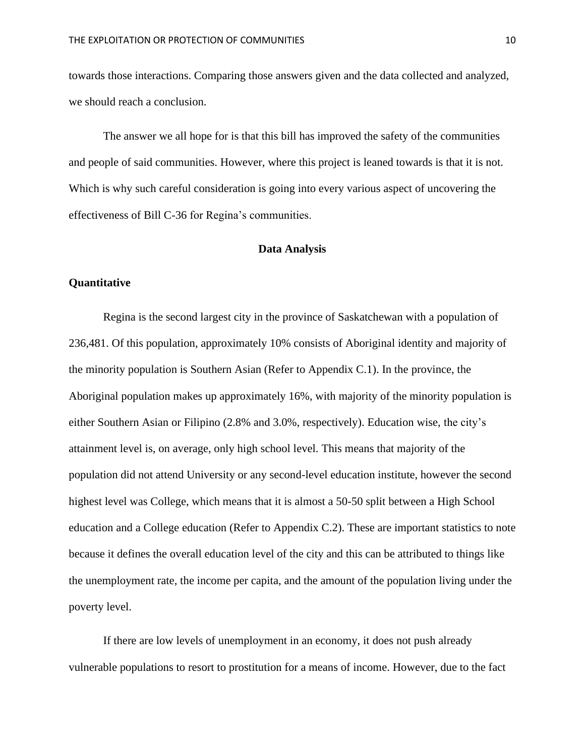towards those interactions. Comparing those answers given and the data collected and analyzed, we should reach a conclusion.

The answer we all hope for is that this bill has improved the safety of the communities and people of said communities. However, where this project is leaned towards is that it is not. Which is why such careful consideration is going into every various aspect of uncovering the effectiveness of Bill C-36 for Regina's communities.

#### **Data Analysis**

# **Quantitative**

Regina is the second largest city in the province of Saskatchewan with a population of 236,481. Of this population, approximately 10% consists of Aboriginal identity and majority of the minority population is Southern Asian (Refer to Appendix C.1). In the province, the Aboriginal population makes up approximately 16%, with majority of the minority population is either Southern Asian or Filipino (2.8% and 3.0%, respectively). Education wise, the city's attainment level is, on average, only high school level. This means that majority of the population did not attend University or any second-level education institute, however the second highest level was College, which means that it is almost a 50-50 split between a High School education and a College education (Refer to Appendix C.2). These are important statistics to note because it defines the overall education level of the city and this can be attributed to things like the unemployment rate, the income per capita, and the amount of the population living under the poverty level.

If there are low levels of unemployment in an economy, it does not push already vulnerable populations to resort to prostitution for a means of income. However, due to the fact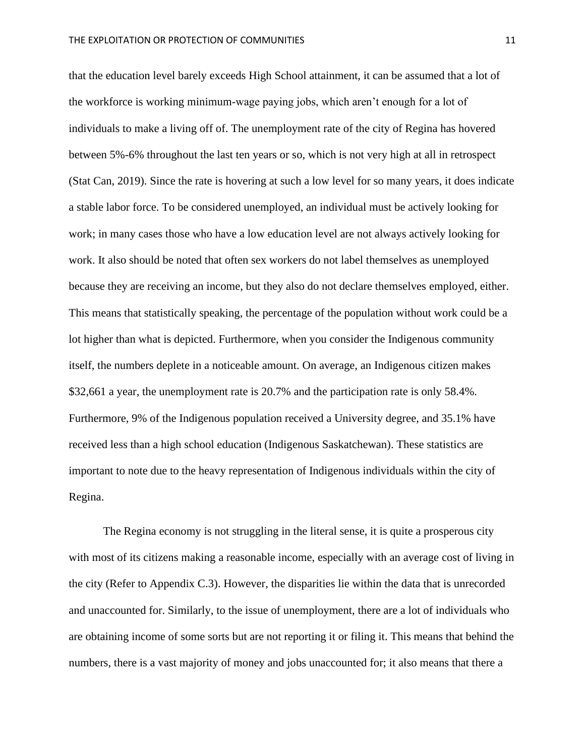that the education level barely exceeds High School attainment, it can be assumed that a lot of the workforce is working minimum-wage paying jobs, which aren't enough for a lot of individuals to make a living off of. The unemployment rate of the city of Regina has hovered between 5%-6% throughout the last ten years or so, which is not very high at all in retrospect (Stat Can, 2019). Since the rate is hovering at such a low level for so many years, it does indicate a stable labor force. To be considered unemployed, an individual must be actively looking for work; in many cases those who have a low education level are not always actively looking for work. It also should be noted that often sex workers do not label themselves as unemployed because they are receiving an income, but they also do not declare themselves employed, either. This means that statistically speaking, the percentage of the population without work could be a lot higher than what is depicted. Furthermore, when you consider the Indigenous community itself, the numbers deplete in a noticeable amount. On average, an Indigenous citizen makes \$32,661 a year, the unemployment rate is 20.7% and the participation rate is only 58.4%. Furthermore, 9% of the Indigenous population received a University degree, and 35.1% have received less than a high school education (Indigenous Saskatchewan). These statistics are important to note due to the heavy representation of Indigenous individuals within the city of Regina.

The Regina economy is not struggling in the literal sense, it is quite a prosperous city with most of its citizens making a reasonable income, especially with an average cost of living in the city (Refer to Appendix C.3). However, the disparities lie within the data that is unrecorded and unaccounted for. Similarly, to the issue of unemployment, there are a lot of individuals who are obtaining income of some sorts but are not reporting it or filing it. This means that behind the numbers, there is a vast majority of money and jobs unaccounted for; it also means that there a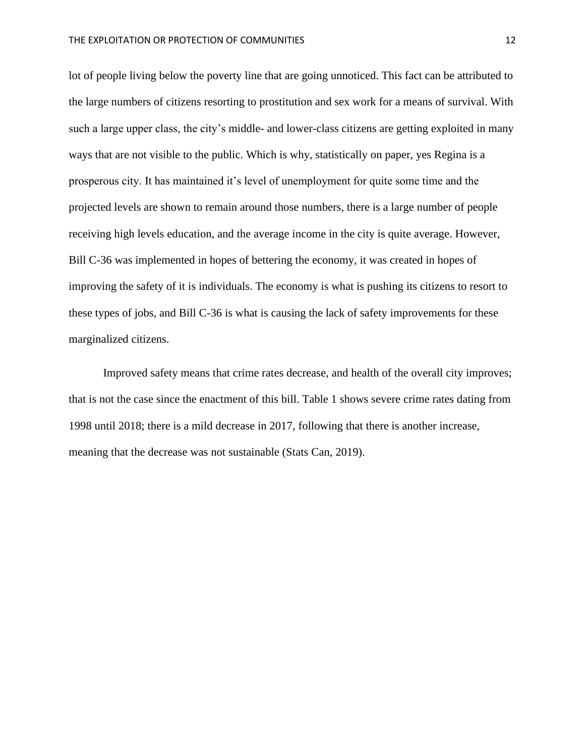lot of people living below the poverty line that are going unnoticed. This fact can be attributed to the large numbers of citizens resorting to prostitution and sex work for a means of survival. With such a large upper class, the city's middle- and lower-class citizens are getting exploited in many ways that are not visible to the public. Which is why, statistically on paper, yes Regina is a prosperous city. It has maintained it's level of unemployment for quite some time and the projected levels are shown to remain around those numbers, there is a large number of people receiving high levels education, and the average income in the city is quite average. However, Bill C-36 was implemented in hopes of bettering the economy, it was created in hopes of improving the safety of it is individuals. The economy is what is pushing its citizens to resort to these types of jobs, and Bill C-36 is what is causing the lack of safety improvements for these marginalized citizens.

Improved safety means that crime rates decrease, and health of the overall city improves; that is not the case since the enactment of this bill. Table 1 shows severe crime rates dating from 1998 until 2018; there is a mild decrease in 2017, following that there is another increase, meaning that the decrease was not sustainable (Stats Can, 2019).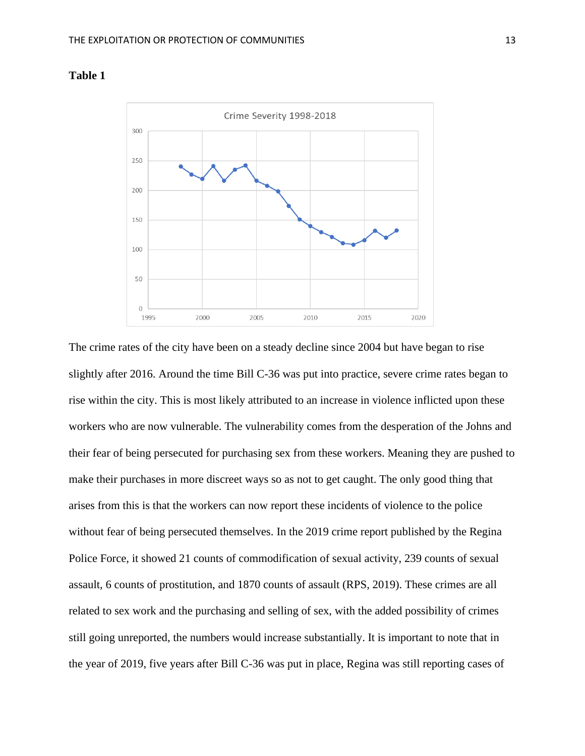

# **Table 1**

The crime rates of the city have been on a steady decline since 2004 but have began to rise slightly after 2016. Around the time Bill C-36 was put into practice, severe crime rates began to rise within the city. This is most likely attributed to an increase in violence inflicted upon these workers who are now vulnerable. The vulnerability comes from the desperation of the Johns and their fear of being persecuted for purchasing sex from these workers. Meaning they are pushed to make their purchases in more discreet ways so as not to get caught. The only good thing that arises from this is that the workers can now report these incidents of violence to the police without fear of being persecuted themselves. In the 2019 crime report published by the Regina Police Force, it showed 21 counts of commodification of sexual activity, 239 counts of sexual assault, 6 counts of prostitution, and 1870 counts of assault (RPS, 2019). These crimes are all related to sex work and the purchasing and selling of sex, with the added possibility of crimes still going unreported, the numbers would increase substantially. It is important to note that in the year of 2019, five years after Bill C-36 was put in place, Regina was still reporting cases of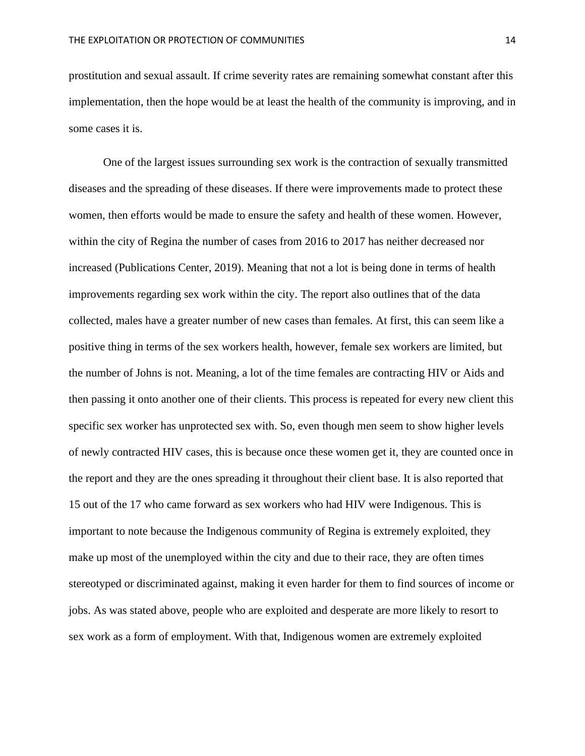prostitution and sexual assault. If crime severity rates are remaining somewhat constant after this implementation, then the hope would be at least the health of the community is improving, and in some cases it is.

One of the largest issues surrounding sex work is the contraction of sexually transmitted diseases and the spreading of these diseases. If there were improvements made to protect these women, then efforts would be made to ensure the safety and health of these women. However, within the city of Regina the number of cases from 2016 to 2017 has neither decreased nor increased (Publications Center, 2019). Meaning that not a lot is being done in terms of health improvements regarding sex work within the city. The report also outlines that of the data collected, males have a greater number of new cases than females. At first, this can seem like a positive thing in terms of the sex workers health, however, female sex workers are limited, but the number of Johns is not. Meaning, a lot of the time females are contracting HIV or Aids and then passing it onto another one of their clients. This process is repeated for every new client this specific sex worker has unprotected sex with. So, even though men seem to show higher levels of newly contracted HIV cases, this is because once these women get it, they are counted once in the report and they are the ones spreading it throughout their client base. It is also reported that 15 out of the 17 who came forward as sex workers who had HIV were Indigenous. This is important to note because the Indigenous community of Regina is extremely exploited, they make up most of the unemployed within the city and due to their race, they are often times stereotyped or discriminated against, making it even harder for them to find sources of income or jobs. As was stated above, people who are exploited and desperate are more likely to resort to sex work as a form of employment. With that, Indigenous women are extremely exploited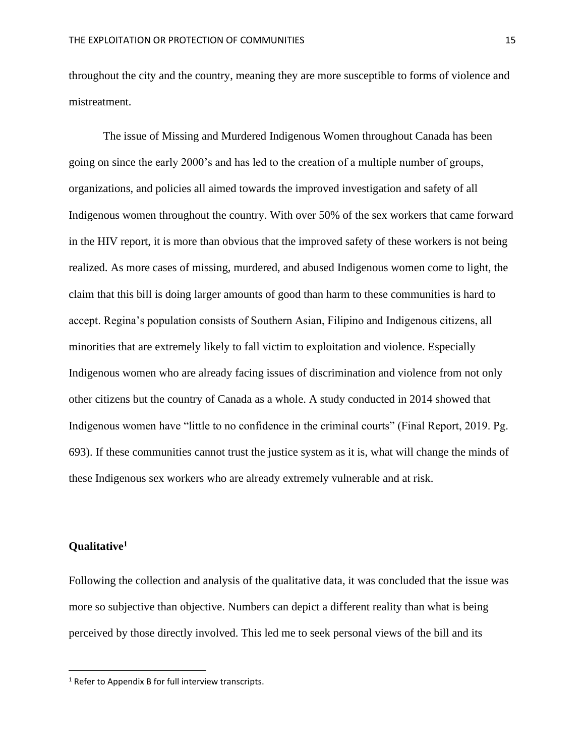throughout the city and the country, meaning they are more susceptible to forms of violence and mistreatment.

The issue of Missing and Murdered Indigenous Women throughout Canada has been going on since the early 2000's and has led to the creation of a multiple number of groups, organizations, and policies all aimed towards the improved investigation and safety of all Indigenous women throughout the country. With over 50% of the sex workers that came forward in the HIV report, it is more than obvious that the improved safety of these workers is not being realized. As more cases of missing, murdered, and abused Indigenous women come to light, the claim that this bill is doing larger amounts of good than harm to these communities is hard to accept. Regina's population consists of Southern Asian, Filipino and Indigenous citizens, all minorities that are extremely likely to fall victim to exploitation and violence. Especially Indigenous women who are already facing issues of discrimination and violence from not only other citizens but the country of Canada as a whole. A study conducted in 2014 showed that Indigenous women have "little to no confidence in the criminal courts" (Final Report, 2019. Pg. 693). If these communities cannot trust the justice system as it is, what will change the minds of these Indigenous sex workers who are already extremely vulnerable and at risk.

# **Qualitative<sup>1</sup>**

Following the collection and analysis of the qualitative data, it was concluded that the issue was more so subjective than objective. Numbers can depict a different reality than what is being perceived by those directly involved. This led me to seek personal views of the bill and its

<sup>&</sup>lt;sup>1</sup> Refer to Appendix B for full interview transcripts.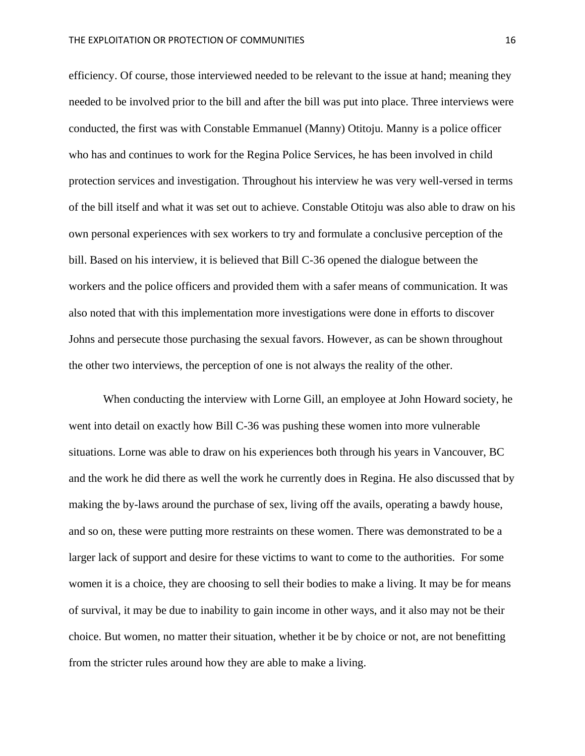efficiency. Of course, those interviewed needed to be relevant to the issue at hand; meaning they needed to be involved prior to the bill and after the bill was put into place. Three interviews were conducted, the first was with Constable Emmanuel (Manny) Otitoju. Manny is a police officer who has and continues to work for the Regina Police Services, he has been involved in child protection services and investigation. Throughout his interview he was very well-versed in terms of the bill itself and what it was set out to achieve. Constable Otitoju was also able to draw on his own personal experiences with sex workers to try and formulate a conclusive perception of the bill. Based on his interview, it is believed that Bill C-36 opened the dialogue between the workers and the police officers and provided them with a safer means of communication. It was also noted that with this implementation more investigations were done in efforts to discover Johns and persecute those purchasing the sexual favors. However, as can be shown throughout the other two interviews, the perception of one is not always the reality of the other.

When conducting the interview with Lorne Gill, an employee at John Howard society, he went into detail on exactly how Bill C-36 was pushing these women into more vulnerable situations. Lorne was able to draw on his experiences both through his years in Vancouver, BC and the work he did there as well the work he currently does in Regina. He also discussed that by making the by-laws around the purchase of sex, living off the avails, operating a bawdy house, and so on, these were putting more restraints on these women. There was demonstrated to be a larger lack of support and desire for these victims to want to come to the authorities. For some women it is a choice, they are choosing to sell their bodies to make a living. It may be for means of survival, it may be due to inability to gain income in other ways, and it also may not be their choice. But women, no matter their situation, whether it be by choice or not, are not benefitting from the stricter rules around how they are able to make a living.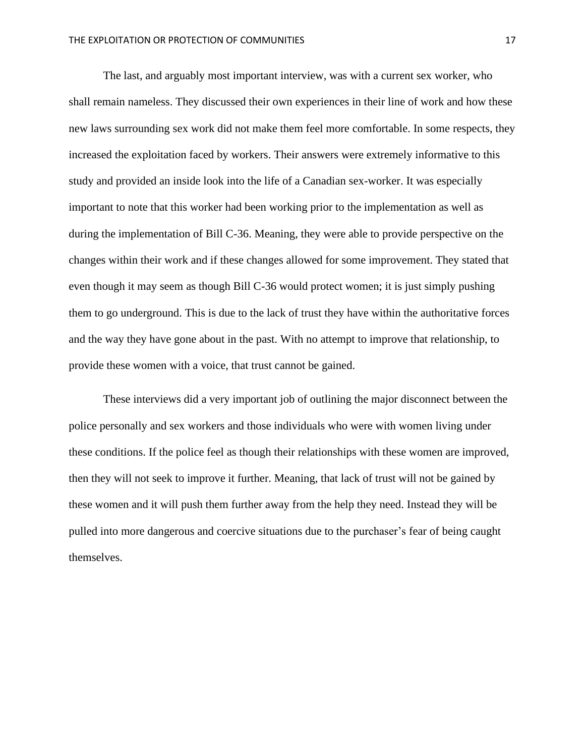The last, and arguably most important interview, was with a current sex worker, who shall remain nameless. They discussed their own experiences in their line of work and how these new laws surrounding sex work did not make them feel more comfortable. In some respects, they increased the exploitation faced by workers. Their answers were extremely informative to this study and provided an inside look into the life of a Canadian sex-worker. It was especially important to note that this worker had been working prior to the implementation as well as during the implementation of Bill C-36. Meaning, they were able to provide perspective on the changes within their work and if these changes allowed for some improvement. They stated that even though it may seem as though Bill C-36 would protect women; it is just simply pushing them to go underground. This is due to the lack of trust they have within the authoritative forces and the way they have gone about in the past. With no attempt to improve that relationship, to provide these women with a voice, that trust cannot be gained.

These interviews did a very important job of outlining the major disconnect between the police personally and sex workers and those individuals who were with women living under these conditions. If the police feel as though their relationships with these women are improved, then they will not seek to improve it further. Meaning, that lack of trust will not be gained by these women and it will push them further away from the help they need. Instead they will be pulled into more dangerous and coercive situations due to the purchaser's fear of being caught themselves.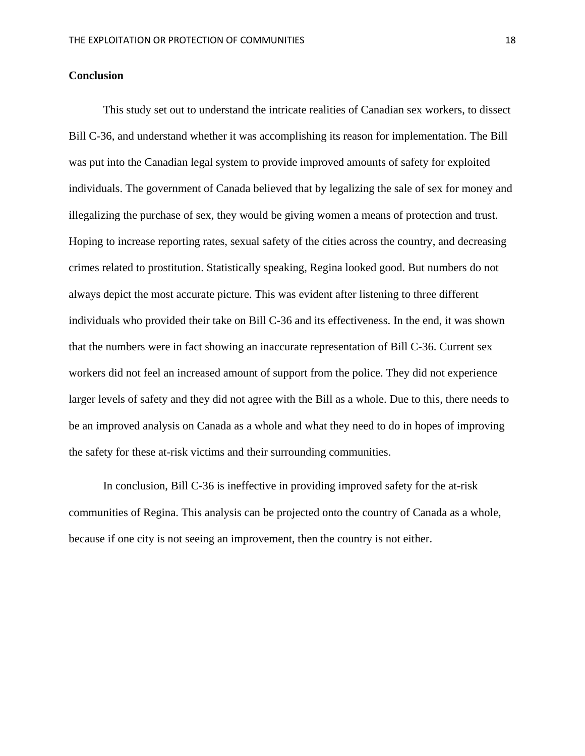#### **Conclusion**

This study set out to understand the intricate realities of Canadian sex workers, to dissect Bill C-36, and understand whether it was accomplishing its reason for implementation. The Bill was put into the Canadian legal system to provide improved amounts of safety for exploited individuals. The government of Canada believed that by legalizing the sale of sex for money and illegalizing the purchase of sex, they would be giving women a means of protection and trust. Hoping to increase reporting rates, sexual safety of the cities across the country, and decreasing crimes related to prostitution. Statistically speaking, Regina looked good. But numbers do not always depict the most accurate picture. This was evident after listening to three different individuals who provided their take on Bill C-36 and its effectiveness. In the end, it was shown that the numbers were in fact showing an inaccurate representation of Bill C-36. Current sex workers did not feel an increased amount of support from the police. They did not experience larger levels of safety and they did not agree with the Bill as a whole. Due to this, there needs to be an improved analysis on Canada as a whole and what they need to do in hopes of improving the safety for these at-risk victims and their surrounding communities.

In conclusion, Bill C-36 is ineffective in providing improved safety for the at-risk communities of Regina. This analysis can be projected onto the country of Canada as a whole, because if one city is not seeing an improvement, then the country is not either.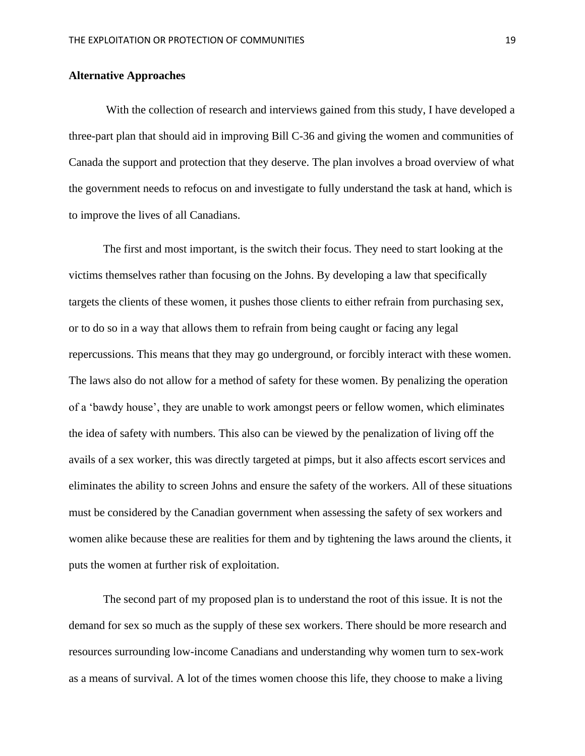# **Alternative Approaches**

With the collection of research and interviews gained from this study, I have developed a three-part plan that should aid in improving Bill C-36 and giving the women and communities of Canada the support and protection that they deserve. The plan involves a broad overview of what the government needs to refocus on and investigate to fully understand the task at hand, which is to improve the lives of all Canadians.

The first and most important, is the switch their focus. They need to start looking at the victims themselves rather than focusing on the Johns. By developing a law that specifically targets the clients of these women, it pushes those clients to either refrain from purchasing sex, or to do so in a way that allows them to refrain from being caught or facing any legal repercussions. This means that they may go underground, or forcibly interact with these women. The laws also do not allow for a method of safety for these women. By penalizing the operation of a 'bawdy house', they are unable to work amongst peers or fellow women, which eliminates the idea of safety with numbers. This also can be viewed by the penalization of living off the avails of a sex worker, this was directly targeted at pimps, but it also affects escort services and eliminates the ability to screen Johns and ensure the safety of the workers. All of these situations must be considered by the Canadian government when assessing the safety of sex workers and women alike because these are realities for them and by tightening the laws around the clients, it puts the women at further risk of exploitation.

The second part of my proposed plan is to understand the root of this issue. It is not the demand for sex so much as the supply of these sex workers. There should be more research and resources surrounding low-income Canadians and understanding why women turn to sex-work as a means of survival. A lot of the times women choose this life, they choose to make a living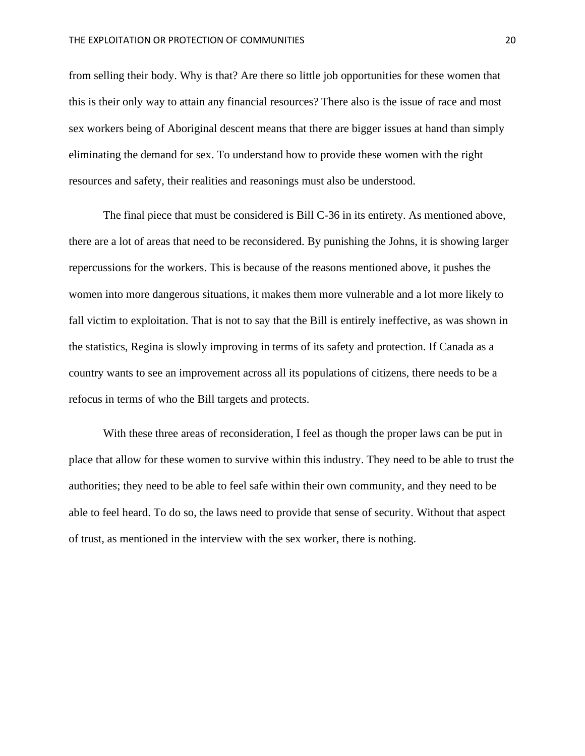from selling their body. Why is that? Are there so little job opportunities for these women that this is their only way to attain any financial resources? There also is the issue of race and most sex workers being of Aboriginal descent means that there are bigger issues at hand than simply eliminating the demand for sex. To understand how to provide these women with the right resources and safety, their realities and reasonings must also be understood.

The final piece that must be considered is Bill C-36 in its entirety. As mentioned above, there are a lot of areas that need to be reconsidered. By punishing the Johns, it is showing larger repercussions for the workers. This is because of the reasons mentioned above, it pushes the women into more dangerous situations, it makes them more vulnerable and a lot more likely to fall victim to exploitation. That is not to say that the Bill is entirely ineffective, as was shown in the statistics, Regina is slowly improving in terms of its safety and protection. If Canada as a country wants to see an improvement across all its populations of citizens, there needs to be a refocus in terms of who the Bill targets and protects.

With these three areas of reconsideration, I feel as though the proper laws can be put in place that allow for these women to survive within this industry. They need to be able to trust the authorities; they need to be able to feel safe within their own community, and they need to be able to feel heard. To do so, the laws need to provide that sense of security. Without that aspect of trust, as mentioned in the interview with the sex worker, there is nothing.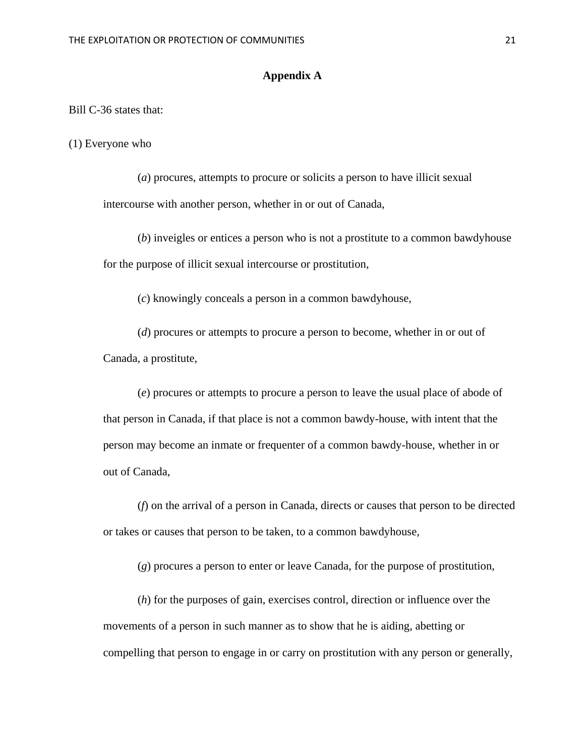# **Appendix A**

Bill C-36 states that:

(1) Everyone who

(*a*) procures, attempts to procure or solicits a person to have illicit sexual intercourse with another person, whether in or out of Canada,

(*b*) inveigles or entices a person who is not a prostitute to a common bawdyhouse for the purpose of illicit sexual intercourse or prostitution,

(*c*) knowingly conceals a person in a common bawdyhouse,

(*d*) procures or attempts to procure a person to become, whether in or out of Canada, a prostitute,

(*e*) procures or attempts to procure a person to leave the usual place of abode of that person in Canada, if that place is not a common bawdy-house, with intent that the person may become an inmate or frequenter of a common bawdy-house, whether in or out of Canada,

(*f*) on the arrival of a person in Canada, directs or causes that person to be directed or takes or causes that person to be taken, to a common bawdyhouse,

(*g*) procures a person to enter or leave Canada, for the purpose of prostitution,

(*h*) for the purposes of gain, exercises control, direction or influence over the movements of a person in such manner as to show that he is aiding, abetting or compelling that person to engage in or carry on prostitution with any person or generally,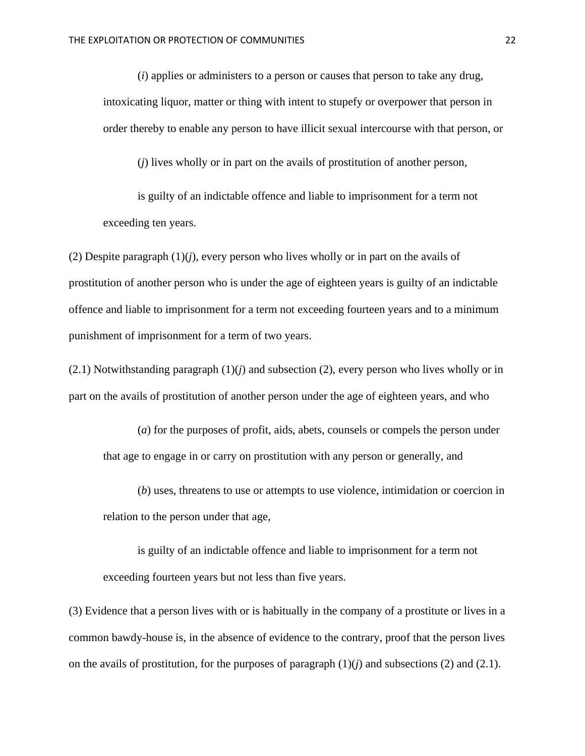(*i*) applies or administers to a person or causes that person to take any drug, intoxicating liquor, matter or thing with intent to stupefy or overpower that person in order thereby to enable any person to have illicit sexual intercourse with that person, or

(*j*) lives wholly or in part on the avails of prostitution of another person,

is guilty of an indictable offence and liable to imprisonment for a term not exceeding ten years.

(2) Despite paragraph (1)(*j*), every person who lives wholly or in part on the avails of prostitution of another person who is under the age of eighteen years is guilty of an indictable offence and liable to imprisonment for a term not exceeding fourteen years and to a minimum punishment of imprisonment for a term of two years.

 $(2.1)$  Notwithstanding paragraph  $(1)(i)$  and subsection  $(2)$ , every person who lives wholly or in part on the avails of prostitution of another person under the age of eighteen years, and who

(*a*) for the purposes of profit, aids, abets, counsels or compels the person under that age to engage in or carry on prostitution with any person or generally, and

(*b*) uses, threatens to use or attempts to use violence, intimidation or coercion in relation to the person under that age,

is guilty of an indictable offence and liable to imprisonment for a term not exceeding fourteen years but not less than five years.

(3) Evidence that a person lives with or is habitually in the company of a prostitute or lives in a common bawdy-house is, in the absence of evidence to the contrary, proof that the person lives on the avails of prostitution, for the purposes of paragraph  $(1)(i)$  and subsections  $(2)$  and  $(2.1)$ .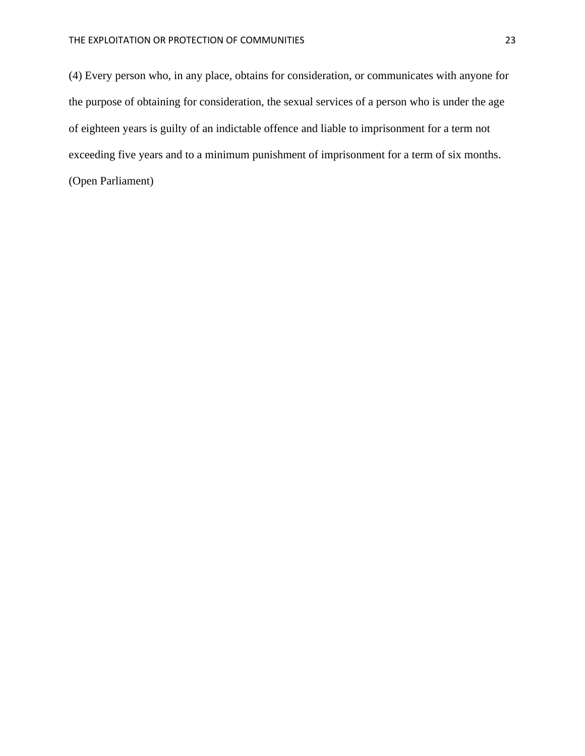(4) Every person who, in any place, obtains for consideration, or communicates with anyone for the purpose of obtaining for consideration, the sexual services of a person who is under the age of eighteen years is guilty of an indictable offence and liable to imprisonment for a term not exceeding five years and to a minimum punishment of imprisonment for a term of six months.

(Open Parliament)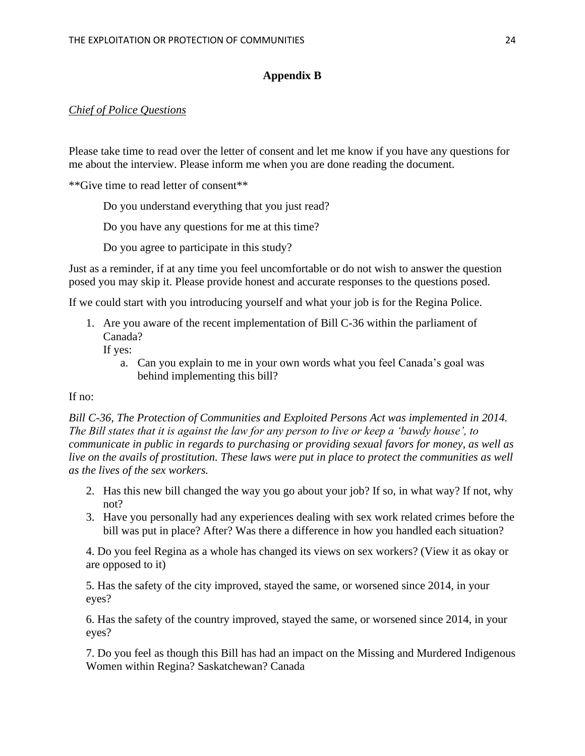# **Appendix B**

# *Chief of Police Questions*

Please take time to read over the letter of consent and let me know if you have any questions for me about the interview. Please inform me when you are done reading the document.

\*\*Give time to read letter of consent\*\*

Do you understand everything that you just read?

Do you have any questions for me at this time?

Do you agree to participate in this study?

Just as a reminder, if at any time you feel uncomfortable or do not wish to answer the question posed you may skip it. Please provide honest and accurate responses to the questions posed.

If we could start with you introducing yourself and what your job is for the Regina Police.

1. Are you aware of the recent implementation of Bill C-36 within the parliament of Canada?

If yes:

a. Can you explain to me in your own words what you feel Canada's goal was behind implementing this bill?

# If  $no:$

*Bill C-36, The Protection of Communities and Exploited Persons Act was implemented in 2014. The Bill states that it is against the law for any person to live or keep a 'bawdy house', to communicate in public in regards to purchasing or providing sexual favors for money, as well as*  live on the avails of prostitution. These laws were put in place to protect the communities as well *as the lives of the sex workers.* 

- 2. Has this new bill changed the way you go about your job? If so, in what way? If not, why not?
- 3. Have you personally had any experiences dealing with sex work related crimes before the bill was put in place? After? Was there a difference in how you handled each situation?

4. Do you feel Regina as a whole has changed its views on sex workers? (View it as okay or are opposed to it)

5. Has the safety of the city improved, stayed the same, or worsened since 2014, in your eyes?

6. Has the safety of the country improved, stayed the same, or worsened since 2014, in your eyes?

7. Do you feel as though this Bill has had an impact on the Missing and Murdered Indigenous Women within Regina? Saskatchewan? Canada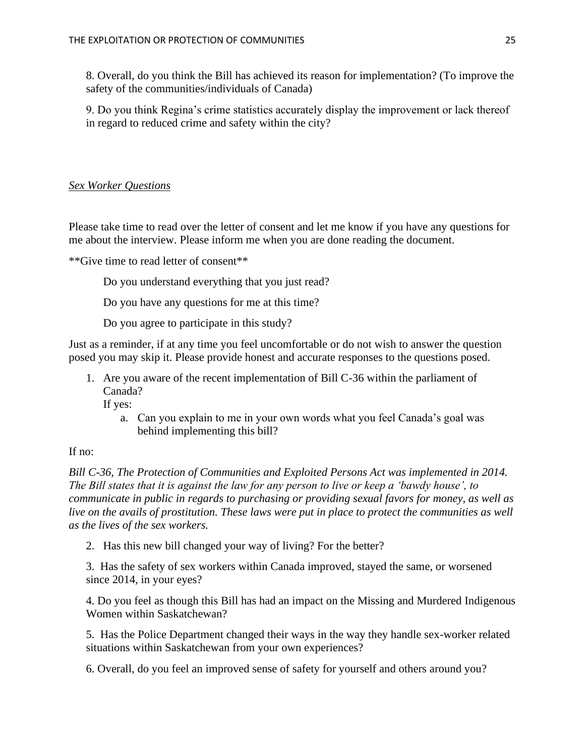8. Overall, do you think the Bill has achieved its reason for implementation? (To improve the safety of the communities/individuals of Canada)

9. Do you think Regina's crime statistics accurately display the improvement or lack thereof in regard to reduced crime and safety within the city?

# *Sex Worker Questions*

Please take time to read over the letter of consent and let me know if you have any questions for me about the interview. Please inform me when you are done reading the document.

\*\*Give time to read letter of consent\*\*

Do you understand everything that you just read?

Do you have any questions for me at this time?

Do you agree to participate in this study?

Just as a reminder, if at any time you feel uncomfortable or do not wish to answer the question posed you may skip it. Please provide honest and accurate responses to the questions posed.

1. Are you aware of the recent implementation of Bill C-36 within the parliament of Canada?

If yes:

a. Can you explain to me in your own words what you feel Canada's goal was behind implementing this bill?

# If no:

*Bill C-36, The Protection of Communities and Exploited Persons Act was implemented in 2014. The Bill states that it is against the law for any person to live or keep a 'bawdy house', to communicate in public in regards to purchasing or providing sexual favors for money, as well as live on the avails of prostitution. These laws were put in place to protect the communities as well as the lives of the sex workers.* 

2. Has this new bill changed your way of living? For the better?

3. Has the safety of sex workers within Canada improved, stayed the same, or worsened since 2014, in your eyes?

4. Do you feel as though this Bill has had an impact on the Missing and Murdered Indigenous Women within Saskatchewan?

5. Has the Police Department changed their ways in the way they handle sex-worker related situations within Saskatchewan from your own experiences?

6. Overall, do you feel an improved sense of safety for yourself and others around you?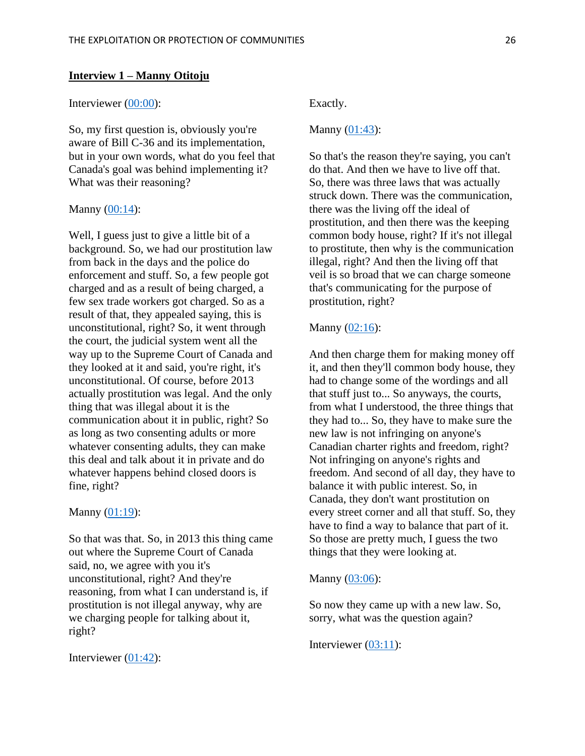#### **Interview 1 – Manny Otitoju**

#### Interviewer [\(00:00\)](https://www.rev.com/transcript-editor/Edit?token=y4tH3IcGjcQdpuS04O0jTT89rbCqCCTL-oU3vNywhg7e6sc6Djrn8g15KnHu2SyJKPC0NUjsdoUP9Rni5A-rUr2Ih2E&loadFrom=DocumentDeeplink&ts=0.95):

So, my first question is, obviously you're aware of Bill C-36 and its implementation, but in your own words, what do you feel that Canada's goal was behind implementing it? What was their reasoning?

#### Manny  $(00:14)$ :

Well, I guess just to give a little bit of a background. So, we had our prostitution law from back in the days and the police do enforcement and stuff. So, a few people got charged and as a result of being charged, a few sex trade workers got charged. So as a result of that, they appealed saying, this is unconstitutional, right? So, it went through the court, the judicial system went all the way up to the Supreme Court of Canada and they looked at it and said, you're right, it's unconstitutional. Of course, before 2013 actually prostitution was legal. And the only thing that was illegal about it is the communication about it in public, right? So as long as two consenting adults or more whatever consenting adults, they can make this deal and talk about it in private and do whatever happens behind closed doors is fine, right?

#### Manny  $(01:19)$ :

So that was that. So, in 2013 this thing came out where the Supreme Court of Canada said, no, we agree with you it's unconstitutional, right? And they're reasoning, from what I can understand is, if prostitution is not illegal anyway, why are we charging people for talking about it, right?

Interviewer [\(01:42\)](https://www.rev.com/transcript-editor/Edit?token=GKSrF5cC9fcry150WsgOZejj2B_JsXks4gTCbrRhOXj5ljuRfIlOPUxP4Opz5K_tGxVeqIfWK2xbMuTy_Y3S6lAKNWE&loadFrom=DocumentDeeplink&ts=102.62):

#### Exactly.

#### Manny [\(01:43\)](https://www.rev.com/transcript-editor/Edit?token=ZWxjEbJYu3ROo0fkCxYpnPzHBLF_hDhod0lEWmqUcEcGgHNqmDZaTNRCZt_6Y71zo2YT9HObE_1WcHkuuKEwBywqMvI&loadFrom=DocumentDeeplink&ts=103.19):

So that's the reason they're saying, you can't do that. And then we have to live off that. So, there was three laws that was actually struck down. There was the communication, there was the living off the ideal of prostitution, and then there was the keeping common body house, right? If it's not illegal to prostitute, then why is the communication illegal, right? And then the living off that veil is so broad that we can charge someone that's communicating for the purpose of prostitution, right?

#### Manny [\(02:16\)](https://www.rev.com/transcript-editor/Edit?token=gzgiL-ERjFIXQxRGBPHQNg6_4UEvpbuPOlvKZzuK-CSLnlXqROXgfo8cw2FXQ4iBSbZeH6CrFF6ENe76Y5XOA5UDXvE&loadFrom=DocumentDeeplink&ts=136.02):

And then charge them for making money off it, and then they'll common body house, they had to change some of the wordings and all that stuff just to... So anyways, the courts, from what I understood, the three things that they had to... So, they have to make sure the new law is not infringing on anyone's Canadian charter rights and freedom, right? Not infringing on anyone's rights and freedom. And second of all day, they have to balance it with public interest. So, in Canada, they don't want prostitution on every street corner and all that stuff. So, they have to find a way to balance that part of it. So those are pretty much, I guess the two things that they were looking at.

# Manny [\(03:06\)](https://www.rev.com/transcript-editor/Edit?token=vfByL_f80ovqMfjqhT7Dp5y3tkpC9t9PMeHmV14blHycHUqhwBJqCAV32_F4VgCbdgnm7KhafWej7HasQPwF5A_n_E0&loadFrom=DocumentDeeplink&ts=186.78):

So now they came up with a new law. So, sorry, what was the question again?

Interviewer [\(03:11\)](https://www.rev.com/transcript-editor/Edit?token=YKndvgU2fkG5iQIvAR99F-aV2vFxjPmMo86noDzX_jUCHmDXaV8orcdRg1579aXMylju0CMCK60KO5utm6iUGov5Ir0&loadFrom=DocumentDeeplink&ts=191.69):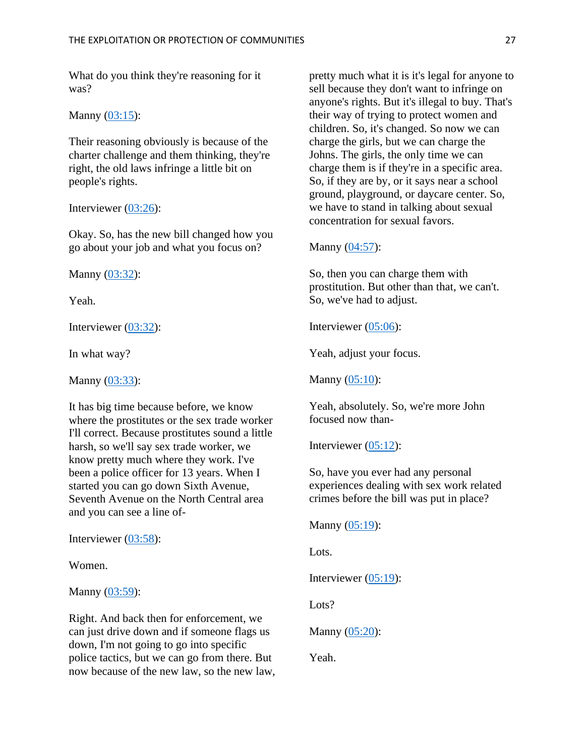What do you think they're reasoning for it was?

Manny [\(03:15\)](https://www.rev.com/transcript-editor/Edit?token=vqH6BDjzzX6oOQAiqSODwdlo3dDy7fcJzqWMLfqJPrFl_r6KsPjnC38nkgw5OVZ1YR00X4O5yITCymUGoM66jjgngfs&loadFrom=DocumentDeeplink&ts=195.13):

Their reasoning obviously is because of the charter challenge and them thinking, they're right, the old laws infringe a little bit on people's rights.

Interviewer [\(03:26\)](https://www.rev.com/transcript-editor/Edit?token=F9Lm5odw66qbuYGYRe80vQcDc0fcK7ebo42NSmE9Zr1dL2KT2p33a49jvjSFJpkGPP_OF9pMkzY0QUgVvFnKDJLSg8w&loadFrom=DocumentDeeplink&ts=206.38):

Okay. So, has the new bill changed how you go about your job and what you focus on?

Manny [\(03:32\)](https://www.rev.com/transcript-editor/Edit?token=E70Xucv2_a-TsehEVvtUAGVrRvvwx40UohGK2n6-Iew2l4Y-Wv3dI1MQjOR2JGUsaL7nEThDlauzpTbKnNYVJ5cB7ZY&loadFrom=DocumentDeeplink&ts=212.41):

Yeah.

Interviewer [\(03:32\)](https://www.rev.com/transcript-editor/Edit?token=5zZd0a-3zUv1rHLQPITA4gJOhw99kvLpfvSX74wyMSpOPyHEV8zpfODqpxsVmRB0fymy3qL-4tt_DoYdgk4j_JrkopA&loadFrom=DocumentDeeplink&ts=212.98):

In what way?

Manny  $(03:33)$ :

It has big time because before, we know where the prostitutes or the sex trade worker I'll correct. Because prostitutes sound a little harsh, so we'll say sex trade worker, we know pretty much where they work. I've been a police officer for 13 years. When I started you can go down Sixth Avenue, Seventh Avenue on the North Central area and you can see a line of-

Interviewer [\(03:58\)](https://www.rev.com/transcript-editor/Edit?token=GYHZOdB9KXsovwLhsl6eZ8-QM0BvKuFLnXi0QQZmx3JdjoaBFInPSzm2aZ3Kao0DjWvOHylt8QPdFHUmSP8lxM72x6g&loadFrom=DocumentDeeplink&ts=238.59):

Women.

Manny  $(03:59)$ :

Right. And back then for enforcement, we can just drive down and if someone flags us down, I'm not going to go into specific police tactics, but we can go from there. But now because of the new law, so the new law,

pretty much what it is it's legal for anyone to sell because they don't want to infringe on anyone's rights. But it's illegal to buy. That's their way of trying to protect women and children. So, it's changed. So now we can charge the girls, but we can charge the Johns. The girls, the only time we can charge them is if they're in a specific area. So, if they are by, or it says near a school ground, playground, or daycare center. So, we have to stand in talking about sexual concentration for sexual favors.

Manny [\(04:57\)](https://www.rev.com/transcript-editor/Edit?token=5O0njbmtkmQgmRW0M89wT2QlF5baFbOauBg0xj0i4ShI9VH8yJBg5jg4VPq_vH3kUPkPFHJ7CoCxvmwU0DF9CGW4OKA&loadFrom=DocumentDeeplink&ts=297.56):

So, then you can charge them with prostitution. But other than that, we can't. So, we've had to adjust.

Interviewer [\(05:06\)](https://www.rev.com/transcript-editor/Edit?token=UIjTZU6HQx8qcpMumGntlB2X3DYwF61g6ELHUnzl829i_fuiLpqhVmmYd4fUkVWDSKGBFl3fLFh9x1kDuPcHxwtNJnE&loadFrom=DocumentDeeplink&ts=306.01):

Yeah, adjust your focus.

Manny [\(05:10\)](https://www.rev.com/transcript-editor/Edit?token=g-tN_ewKbgfX0JkaQ5ToebexCGuALp6ROU7ToHLHIUFPrWXUdNqj5tHha3D3JcRmDgDXVCTcEfeuzU1JHlnsyoek45Y&loadFrom=DocumentDeeplink&ts=310.07):

Yeah, absolutely. So, we're more John focused now than-

Interviewer  $(05:12)$ :

So, have you ever had any personal experiences dealing with sex work related crimes before the bill was put in place?

Manny [\(05:19\)](https://www.rev.com/transcript-editor/Edit?token=LaQ1NGTvaBmtFaAOWn-0djO7u_xe3gNYnfSD9XZSaO2Xc5ae1A2yAPdHPn7nyHW7a64K5gG-OrquN8kYzvyonSQIFlU&loadFrom=DocumentDeeplink&ts=319.29):

Lots.

Interviewer [\(05:19\)](https://www.rev.com/transcript-editor/Edit?token=s2c3inOk1m825JdkjPtHU_EtNK3vP3r6j2gZtmrT--pP_lSNO8KDhIWmMB6w8MuZ3cwU-3kBEm5xMSp6HOuM0NQM1cY&loadFrom=DocumentDeeplink&ts=319.63):

Lots?

Manny [\(05:20\)](https://www.rev.com/transcript-editor/Edit?token=SGZEMz05_TCGbQYI4Ixzxfobkk0DQq-A-MrgoynovuOy7TDV52QhGfqIK_T_MCVFpi46SIrPArBpdWDn5SwD3heJv3Q&loadFrom=DocumentDeeplink&ts=320.27):

Yeah.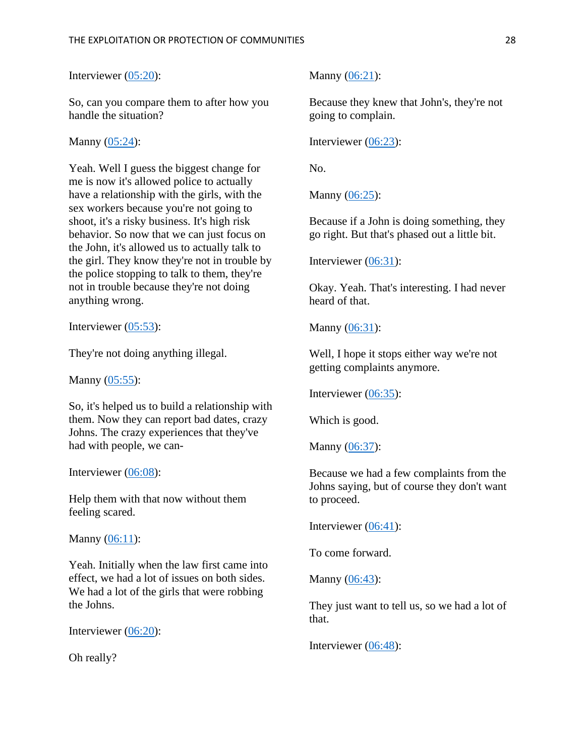Interviewer [\(05:20\)](https://www.rev.com/transcript-editor/Edit?token=nooq8J9MWqq_ESitbv5zo01psAApzjy82VrY4tE3eM-X_pWp5NC4E0botPFKoHcpRJ0uQUxvHjrvbOsST3aJviZJRLo&loadFrom=DocumentDeeplink&ts=320.76):

So, can you compare them to after how you handle the situation?

Manny [\(05:24\)](https://www.rev.com/transcript-editor/Edit?token=rfBHjcW3Tgo6yI0U8ZTCTweSWN8QY-nLo4LODLDz5eQ63cXSY4IA9y4EM44XlILPYKRQE8Iwn7sunWaTXJ9upK2KTn4&loadFrom=DocumentDeeplink&ts=324.53):

Yeah. Well I guess the biggest change for me is now it's allowed police to actually have a relationship with the girls, with the sex workers because you're not going to shoot, it's a risky business. It's high risk behavior. So now that we can just focus on the John, it's allowed us to actually talk to the girl. They know they're not in trouble by the police stopping to talk to them, they're not in trouble because they're not doing anything wrong.

Interviewer [\(05:53\)](https://www.rev.com/transcript-editor/Edit?token=BqkslS7p7zYXeQpw49rMpSHU6OH8rcEs_OM-DXxMKUujYvGFUoRTBYwzvQR05_mHLRaw3QzFvjxgFuHXnIilSqfKFQ8&loadFrom=DocumentDeeplink&ts=353.77):

They're not doing anything illegal.

Manny  $(05:55)$ :

So, it's helped us to build a relationship with them. Now they can report bad dates, crazy Johns. The crazy experiences that they've had with people, we can-

Interviewer  $(06:08)$ :

Help them with that now without them feeling scared.

Manny  $(06:11)$ :

Yeah. Initially when the law first came into effect, we had a lot of issues on both sides. We had a lot of the girls that were robbing the Johns.

Interviewer [\(06:20\)](https://www.rev.com/transcript-editor/Edit?token=DracZf5Wsdf4YS5JOy9ICHifiVwNuA9Wtl58sjZEHjURtVUWLUDFUyCiXcoo1cMxZV0TuBOOhPJzDfCPMl2wk9pF_W8&loadFrom=DocumentDeeplink&ts=380.87):

Oh really?

Manny [\(06:21\)](https://www.rev.com/transcript-editor/Edit?token=LLywHNytV4aipIxnscdoQMw2nbJM_JXO5RV7v2g6dhVvxtQW3swNlGaPlnhxC2AerRB0PhIP7BK3Mu1VZ5HlkTM9128&loadFrom=DocumentDeeplink&ts=381.83):

Because they knew that John's, they're not going to complain.

Interviewer [\(06:23\)](https://www.rev.com/transcript-editor/Edit?token=iZBk6hMRAudF1W1vtL-bfl0U46qvdcrctQOwPmxqN3c6dI_XxjmO_EiKb8OlTsrcjityzGlWEkpyg4TAXLxMAb5CKfE&loadFrom=DocumentDeeplink&ts=383.54):

No.

Manny [\(06:25\)](https://www.rev.com/transcript-editor/Edit?token=2_JTQvVtNDvpALypq1ugaJ2j-T0sV37nReDiPisrj26bf68oqIMuh29vpT5Cb3E1iXNPCaxHObe0y5_6pb5iPsNtJao&loadFrom=DocumentDeeplink&ts=385.5):

Because if a John is doing something, they go right. But that's phased out a little bit.

Interviewer [\(06:31\)](https://www.rev.com/transcript-editor/Edit?token=j6jSEXHg0beLr42weu9Bb9qScJWXK434AuuL-dwxLk1bfnrLF_Q708wmmcQz2LeGU-BhTDZMYEoMAs_CPBhzD6AnZHo&loadFrom=DocumentDeeplink&ts=391.51):

Okay. Yeah. That's interesting. I had never heard of that.

Manny [\(06:31\)](https://www.rev.com/transcript-editor/Edit?token=VuRvu2BA9M9lpirJ5njdjMXsNgjNqQF13Kx-IPqAmhFaxRecpht3DqdQOnkSkErjYPoSysBfhVBjbTxm14oYpQgd6yQ&loadFrom=DocumentDeeplink&ts=391.87):

Well, I hope it stops either way we're not getting complaints anymore.

Interviewer [\(06:35\)](https://www.rev.com/transcript-editor/Edit?token=V06GwEwLLNjXrxPFrPLblSvnuvUyTQuAki6mLUhSU7LC4VqdtGqM7pySJgtfu_Rlm12D9yeLnEeGLkLWucJIz-EX2mw&loadFrom=DocumentDeeplink&ts=395.74):

Which is good.

Manny [\(06:37\)](https://www.rev.com/transcript-editor/Edit?token=FB8eTu3OvR-KWbVg571mQf1wRL0DSL3xGrON8dBtMGXizhjMPjJv-Uhw65o6DvQL7Do0FlbC3HiS8-xvKIP--Zu4CNQ&loadFrom=DocumentDeeplink&ts=397.83):

Because we had a few complaints from the Johns saying, but of course they don't want to proceed.

Interviewer [\(06:41\)](https://www.rev.com/transcript-editor/Edit?token=J22N3OIjvrPTGCVSRPjo3bou7irOrm9FGDLBga0Cj23UlwDdWNMrK8JclgEHbp3SWrJaNLbFW0Rm9f6-LrGOEHkdBmU&loadFrom=DocumentDeeplink&ts=401.95):

To come forward.

Manny [\(06:43\)](https://www.rev.com/transcript-editor/Edit?token=XQE3u25N0vQ7tQl2r4h2DtIH23YlSyYDshQyVIjvePJHKvKN1ksRhCmCORp3EZA8IloOmLjT6adyiLI8KVe2IvJAZNE&loadFrom=DocumentDeeplink&ts=403.82):

They just want to tell us, so we had a lot of that.

Interviewer [\(06:48\)](https://www.rev.com/transcript-editor/Edit?token=o7YD1yRXk0q6b56AWmSGdP7OHjIUQtDxAWtTbYNF6cS-jzgq_EkIp2xEDEGkdpyv8rNj7NArFnjvOcTcKeOiI1LIhrI&loadFrom=DocumentDeeplink&ts=408.7):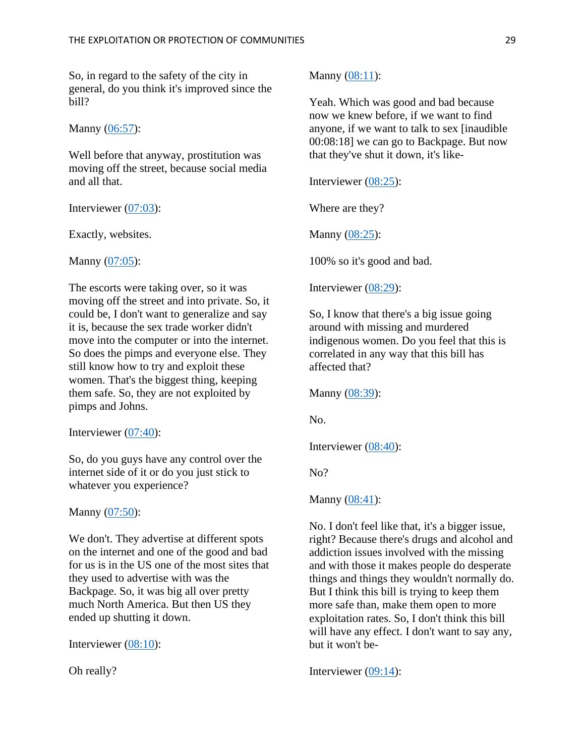So, in regard to the safety of the city in general, do you think it's improved since the bill?

Manny  $(06:57)$ :

Well before that anyway, prostitution was moving off the street, because social media and all that.

Interviewer [\(07:03\)](https://www.rev.com/transcript-editor/Edit?token=HfcIaGzcZTT13Rf0T01bCDGGkEXvbF62bFjWfFAn_uINQCuqzpuPgMPejSX7UJXjgejN3TbGcWwosXCO3yQ9MobRaz0&loadFrom=DocumentDeeplink&ts=423.72):

Exactly, websites.

Manny  $(07:05)$ :

The escorts were taking over, so it was moving off the street and into private. So, it could be, I don't want to generalize and say it is, because the sex trade worker didn't move into the computer or into the internet. So does the pimps and everyone else. They still know how to try and exploit these women. That's the biggest thing, keeping them safe. So, they are not exploited by pimps and Johns.

Interviewer [\(07:40\)](https://www.rev.com/transcript-editor/Edit?token=VnbI6MImV5FKaG4P3CsLfMYgExkapLgOk6K-OiRh9smKIy6sY0e6Tl2TCIcV3K3xDWGqsP8OehTXnW00rw3dRJag9WE&loadFrom=DocumentDeeplink&ts=460.08):

So, do you guys have any control over the internet side of it or do you just stick to whatever you experience?

Manny  $(07:50)$ :

We don't. They advertise at different spots on the internet and one of the good and bad for us is in the US one of the most sites that they used to advertise with was the Backpage. So, it was big all over pretty much North America. But then US they ended up shutting it down.

Interviewer [\(08:10\)](https://www.rev.com/transcript-editor/Edit?token=Fn1h_seQ92w2YuoarNLCW-KPPYLIOV8FQ3UrTZDQ5w0S9zxGfoX5KX9TB8SDwpry7E1keXMLEOsuvG-cO-iXyTmRH2I&loadFrom=DocumentDeeplink&ts=490.8):

Oh really?

Manny  $(08:11)$ :

Yeah. Which was good and bad because now we knew before, if we want to find anyone, if we want to talk to sex [inaudible 00:08:18] we can go to Backpage. But now that they've shut it down, it's like-

Interviewer [\(08:25\)](https://www.rev.com/transcript-editor/Edit?token=YNaKhJHhQkf-AV9ckl26VZJtjgVVyY_lyTK9WUVzwENffK6c-9RJenKh6Y5buLzfYgUWGAlD6-k2qy1lnBFV5MZJTc4&loadFrom=DocumentDeeplink&ts=505.44):

Where are they?

Manny [\(08:25\)](https://www.rev.com/transcript-editor/Edit?token=ldvivQplH2kd66XkdDfuU-bp-mebWlRsToaBhrR9gVbZQB6f9J-XJ9QdNj2PfvpDqgWtnGqpB3HXTTcapdtZAkajNyg&loadFrom=DocumentDeeplink&ts=505.47):

100% so it's good and bad.

Interviewer [\(08:29\)](https://www.rev.com/transcript-editor/Edit?token=OlD9f9Q2nDq_fXJ4_jk8YWlqoDs_0ZEssDCS-dWzyg8PwXgSkfs7zk_Xx1AwL2lEHA-RZ_yqhPKZlDQsx-gP_QOBH6Y&loadFrom=DocumentDeeplink&ts=509.44):

So, I know that there's a big issue going around with missing and murdered indigenous women. Do you feel that this is correlated in any way that this bill has affected that?

Manny [\(08:39\)](https://www.rev.com/transcript-editor/Edit?token=Mbft-lpB16-arNiPkMcG5AFcritBv6DMJwRynuNM3EX_1zRL7b7OeKxMoqsJimsmXSqn35CXfLnA5BKXxOOy95NsgtQ&loadFrom=DocumentDeeplink&ts=519.47):

No.

Interviewer [\(08:40\)](https://www.rev.com/transcript-editor/Edit?token=Ig-gXb7Nj9i2W8WYHCt5liWmbgelUUy97o8OSDuSb_Idgvtj71QJ9piJ4dBIQyqB6Djp1qZfSaWgUXCCmiywyW64TCk&loadFrom=DocumentDeeplink&ts=520.32):

No?

Manny [\(08:41\)](https://www.rev.com/transcript-editor/Edit?token=9KVYKUB9Za-UTFD-ZDmYlNgT9pKXcm3Gj_NJ9p2W0A9PdSFqo0vhY5pXEq3z-dvorH4yG9kJwrLdbsy0vE9ZBPeDsGQ&loadFrom=DocumentDeeplink&ts=521.11):

No. I don't feel like that, it's a bigger issue, right? Because there's drugs and alcohol and addiction issues involved with the missing and with those it makes people do desperate things and things they wouldn't normally do. But I think this bill is trying to keep them more safe than, make them open to more exploitation rates. So, I don't think this bill will have any effect. I don't want to say any, but it won't be-

Interviewer [\(09:14\)](https://www.rev.com/transcript-editor/Edit?token=4vUhYz76DApgT2Xb-Kx6BtU_oeADkUiMAo-orrQWW8BZetNWemSdjKYk5qAbhgkPIM37D0uAlrY4eA9uhfsL4hat0T4&loadFrom=DocumentDeeplink&ts=554.86):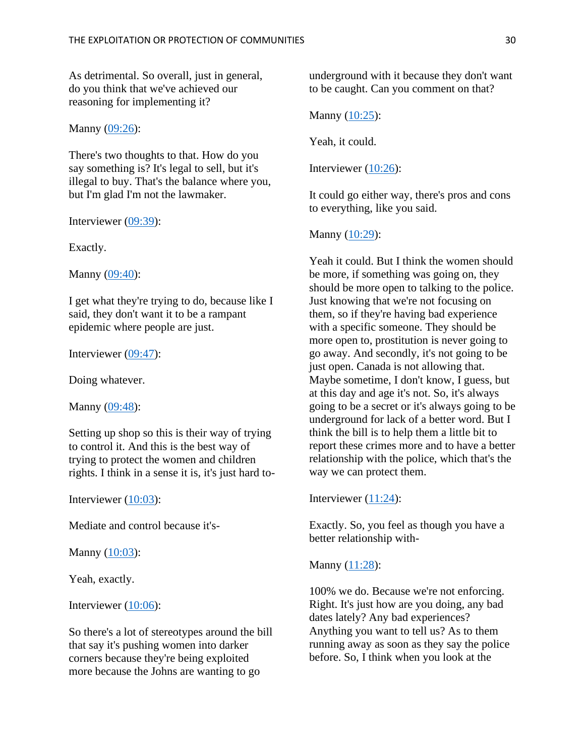As detrimental. So overall, just in general, do you think that we've achieved our reasoning for implementing it?

Manny  $(09:26)$ :

There's two thoughts to that. How do you say something is? It's legal to sell, but it's illegal to buy. That's the balance where you, but I'm glad I'm not the lawmaker.

Interviewer [\(09:39\)](https://www.rev.com/transcript-editor/Edit?token=cvMWJorFS7numxcRGn5VPjOyHjvuJPquy38MjeX-8LfUikCYOmxBJ76_Mt8BxdFbs8t1FlXgEPLcKmEczFKeAzQI7FA&loadFrom=DocumentDeeplink&ts=579.24):

Exactly.

Manny [\(09:40\)](https://www.rev.com/transcript-editor/Edit?token=nMDLHEbmjgyHLQV8sRsXiCTlZhiV7DIOWhRxDnukNW5BOJVjoWrbHv8OBO1zyLbB8NMumrXXZsXCY4VR-lzRwhLezrQ&loadFrom=DocumentDeeplink&ts=580.09):

I get what they're trying to do, because like I said, they don't want it to be a rampant epidemic where people are just.

Interviewer [\(09:47\)](https://www.rev.com/transcript-editor/Edit?token=oN4x2TqXiSTh7NSXd6bEWz59ULZfU351jjHbUIyaXampKQMevBLEYAT2Zms_7-kaK9bPj4aT1_rb_vtNvYUzJkX2C0s&loadFrom=DocumentDeeplink&ts=587.33):

Doing whatever.

Manny [\(09:48\)](https://www.rev.com/transcript-editor/Edit?token=P_0UwsDY70hwmBzIohmss0NJxB9a9l6nW_X3cf7z5djq06B87an0ZWY6W2o9gQj4EOH-_73xipAF0MG6HbiFQezhnhk&loadFrom=DocumentDeeplink&ts=588.64):

Setting up shop so this is their way of trying to control it. And this is the best way of trying to protect the women and children rights. I think in a sense it is, it's just hard to-

Interviewer [\(10:03\)](https://www.rev.com/transcript-editor/Edit?token=1yzeJfT5AKqJ3h9-Eb2tP_ycNOchqtOkQw7zOJnSGT1ENx-L0bgonuPuAkH6_EEkGKGN13a3CVzErjBqRDkCOurDjag&loadFrom=DocumentDeeplink&ts=603.08):

Mediate and control because it's-

Manny  $(10:03)$ :

Yeah, exactly.

Interviewer  $(10:06)$ :

So there's a lot of stereotypes around the bill that say it's pushing women into darker corners because they're being exploited more because the Johns are wanting to go

underground with it because they don't want to be caught. Can you comment on that?

Manny [\(10:25\)](https://www.rev.com/transcript-editor/Edit?token=L2gCPiC17MPZZqHMnQVvtaFJfKExlamEBK4CyHf0kszlXQ7oP7dUh82oYAxpYpBXQTFUADCBGNWdwHg9DBsqHGiIJhE&loadFrom=DocumentDeeplink&ts=625.83):

Yeah, it could.

Interviewer  $(10:26)$ :

It could go either way, there's pros and cons to everything, like you said.

Manny  $(10:29)$ :

Yeah it could. But I think the women should be more, if something was going on, they should be more open to talking to the police. Just knowing that we're not focusing on them, so if they're having bad experience with a specific someone. They should be more open to, prostitution is never going to go away. And secondly, it's not going to be just open. Canada is not allowing that. Maybe sometime, I don't know, I guess, but at this day and age it's not. So, it's always going to be a secret or it's always going to be underground for lack of a better word. But I think the bill is to help them a little bit to report these crimes more and to have a better relationship with the police, which that's the way we can protect them.

Interviewer  $(11:24)$ :

Exactly. So, you feel as though you have a better relationship with-

Manny [\(11:28\)](https://www.rev.com/transcript-editor/Edit?token=90xr4-tse_ctwOh_xTNKVGmpthn1E6OwXUlVxlOblJQSiKnhV5_MPpi4TS-KT3uU6Dy_0_-oMutCL1TKG4pIA_r4nJE&loadFrom=DocumentDeeplink&ts=688.46):

100% we do. Because we're not enforcing. Right. It's just how are you doing, any bad dates lately? Any bad experiences? Anything you want to tell us? As to them running away as soon as they say the police before. So, I think when you look at the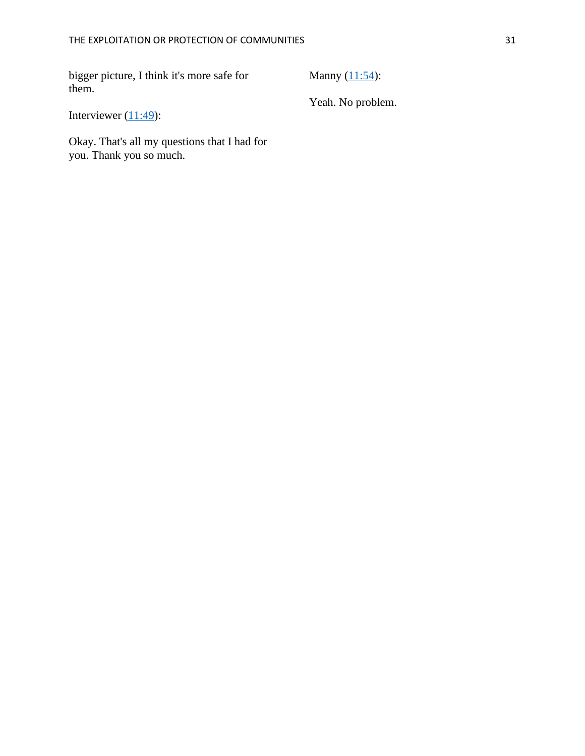bigger picture, I think it's more safe for them.

Manny  $(11:54)$ :

Yeah. No problem.

Interviewer  $(11:49)$ :

Okay. That's all my questions that I had for you. Thank you so much.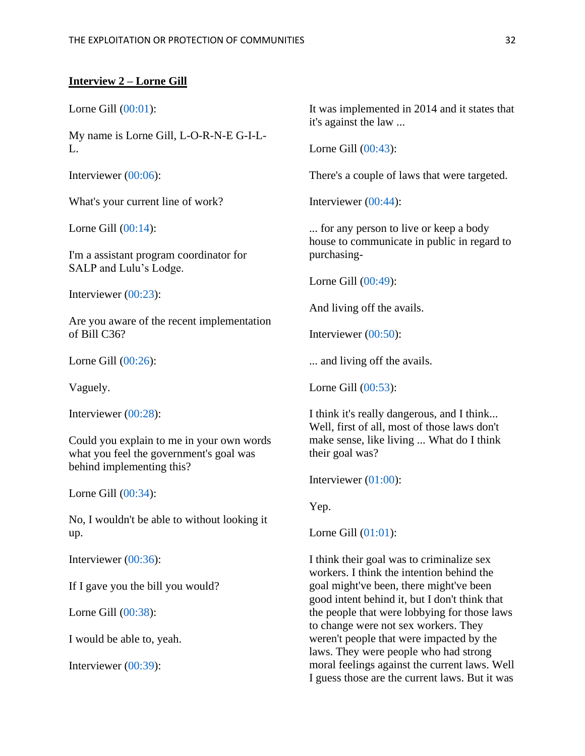#### **Interview 2 – Lorne Gill**

Lorne Gill [\(00:01\)](https://www.rev.com/transcript-editor/Edit?token=WUMbmGhUT014tUOLUPvtifAvrcbm33zVsTtf9qW464dS7LMdQzu720geQSfO43NnMqgFXZqzwMYzOhQ-1bQF-41OJ7o&loadFrom=DocumentDeeplink&ts=1.21):

My name is Lorne Gill, L-O-R-N-E G-I-L- $L$ .

Interviewer [\(00:06\)](https://www.rev.com/transcript-editor/Edit?token=8V9KJk1E49bkG5v79Ux9lPrQQOX1hnmzYRR3NTRKqznHV1Gxc31cUFVjCexmlN6VIdNAHvlqVVKUe11lzhPOkpYGeLg&loadFrom=DocumentDeeplink&ts=6.15):

What's your current line of work?

Lorne Gill [\(00:14\)](https://www.rev.com/transcript-editor/Edit?token=769zoEeSha5MT5TD0sZInNXdcZf2M6ihHOiqGbNNexDPqFxm5Q_iFPWVA-yzd6SR0GnopM2uDrttPqqTuy8RbVY7cWQ&loadFrom=DocumentDeeplink&ts=14.73):

I'm a assistant program coordinator for SALP and Lulu's Lodge.

Interviewer [\(00:23\)](https://www.rev.com/transcript-editor/Edit?token=Lgy7bDRsWZaeHQS5JxMeqjkaipuVifNVaYNGJ8MccyrPSzbjFAspEatSc8NnSJ7fU1spRyanAAajLdzukeGw-Zrfprk&loadFrom=DocumentDeeplink&ts=23.32):

Are you aware of the recent implementation of Bill C36?

Lorne Gill [\(00:26\)](https://www.rev.com/transcript-editor/Edit?token=tG2Yh9PkMvDpLtE65sJgWysibOAHobMKcdWE07fxKqdHh6fuJxzC0h5ryK0-z6A08eFzmDIDFiP0_kBDm0CMah3teBg&loadFrom=DocumentDeeplink&ts=26.77):

Vaguely.

Interviewer [\(00:28\)](https://www.rev.com/transcript-editor/Edit?token=blipgZtztOg8OdRktQCuiyygFngl5HmaYUtDkqhVXF6Pl4BrnwZurS04tzUSQ7rCWrAvCHmCIqw2hDwYWmpZxqcO1DM&loadFrom=DocumentDeeplink&ts=28.66):

Could you explain to me in your own words what you feel the government's goal was behind implementing this?

Lorne Gill [\(00:34\)](https://www.rev.com/transcript-editor/Edit?token=iJ9zvtGoNiagnIrPirw0SgS5k4aWN_4bWOysSjz1xF5iELeLOJXlbpQNJI4S2qDD-CMv0wPpx0D5k5j9lSXVK3FUJVA&loadFrom=DocumentDeeplink&ts=34.25):

No, I wouldn't be able to without looking it up.

Interviewer [\(00:36\)](https://www.rev.com/transcript-editor/Edit?token=S19p3zxN7bw-QEOdW1_qJE1TmqqLIbePjqk291lMP4FqWDKeUKSqJ37CpFw8IU9MPL1gJWXDevrFIKfDi0oRzPLllW0&loadFrom=DocumentDeeplink&ts=36.81):

If I gave you the bill you would?

Lorne Gill [\(00:38\)](https://www.rev.com/transcript-editor/Edit?token=oHqQW-YkAscsB-5vMM1MgueOUsdJUQQWUUbNVhKJ_jgQgDv3ZsxTyNb6I3PllvnEiI-OxAUDvvrdm0DwPD_afkYtep0&loadFrom=DocumentDeeplink&ts=38.34):

I would be able to, yeah.

Interviewer [\(00:39\)](https://www.rev.com/transcript-editor/Edit?token=5PstqUJk17QjWZybgSkAksPC_tc6-Z1hMh0iaGE9rsl-15e35yTNJn5di73QJvLKWMYlVdKONJGnf2bTJe_IX4a7xfU&loadFrom=DocumentDeeplink&ts=39.48):

It was implemented in 2014 and it states that it's against the law ...

Lorne Gill [\(00:43\)](https://www.rev.com/transcript-editor/Edit?token=enhw2IYyVg7fznbp-4t1HGqJPzhwkoKzvdQ6rXs19LDcjNRJnaJr6XMl7bf18PyV1qtD8DfMHXQR3c_j2yRunEC2_mo&loadFrom=DocumentDeeplink&ts=43.18):

There's a couple of laws that were targeted.

Interviewer [\(00:44\)](https://www.rev.com/transcript-editor/Edit?token=D8b8DBewQ_g9rjJqauUIEj_cNJ1DJ_DF6ZOnrHgEkY42z7lr1HOaP7QEADvMeq3r_H5ThSZaRN6nqFSXGvWYIzEk5j8&loadFrom=DocumentDeeplink&ts=44.69):

... for any person to live or keep a body house to communicate in public in regard to purchasing-

Lorne Gill [\(00:49\)](https://www.rev.com/transcript-editor/Edit?token=ymar1G1fD0de4n5xkTRhlBXiY1bVsxhHCWfajPqW70fgvmrfLnTvEvQR_SnBCSpKs_UA6Mi1DxnJkYkGThDTf7Ntkvo&loadFrom=DocumentDeeplink&ts=49.56):

And living off the avails.

Interviewer [\(00:50\)](https://www.rev.com/transcript-editor/Edit?token=ONRkhYLXqbCtZJDwHITSwWT23wmSCogirYROgejungFaGPrT27ZScgjIbt4aq85PFM2MUvbPHiuE5DRJofEQ3q_ypu4&loadFrom=DocumentDeeplink&ts=50.9):

... and living off the avails.

Lorne Gill [\(00:53\)](https://www.rev.com/transcript-editor/Edit?token=AjDcDEA1qR8Y0ttmYXeCBqRDI82CX8NyXiCzyUfTGYbeMKvF_FPTimzVrHOBZ_Xb2SKyaOFI_vBHo5KUn0sHqqPEOwU&loadFrom=DocumentDeeplink&ts=53.12):

I think it's really dangerous, and I think... Well, first of all, most of those laws don't make sense, like living ... What do I think their goal was?

Interviewer [\(01:00\)](https://www.rev.com/transcript-editor/Edit?token=Ft7pEqr7wD4mZv7yLoOugfvjDw1vE2dhCeArX_pIK_7YlzPy-4N0dGW0xxZZW_j-FI7zWznb4mrDpQsmYNO-Pd1GFc0&loadFrom=DocumentDeeplink&ts=60.97):

Yep.

Lorne Gill [\(01:01\)](https://www.rev.com/transcript-editor/Edit?token=EjaCDNXU3uY60T2UtI4TiHS2f3WmlaWYrXuIXg9KpOjEKTpuO3ebpFlf6iq1IaoSvJREzCDLk1-b9NyNLWdNHL9jogs&loadFrom=DocumentDeeplink&ts=61.8):

I think their goal was to criminalize sex workers. I think the intention behind the goal might've been, there might've been good intent behind it, but I don't think that the people that were lobbying for those laws to change were not sex workers. They weren't people that were impacted by the laws. They were people who had strong moral feelings against the current laws. Well I guess those are the current laws. But it was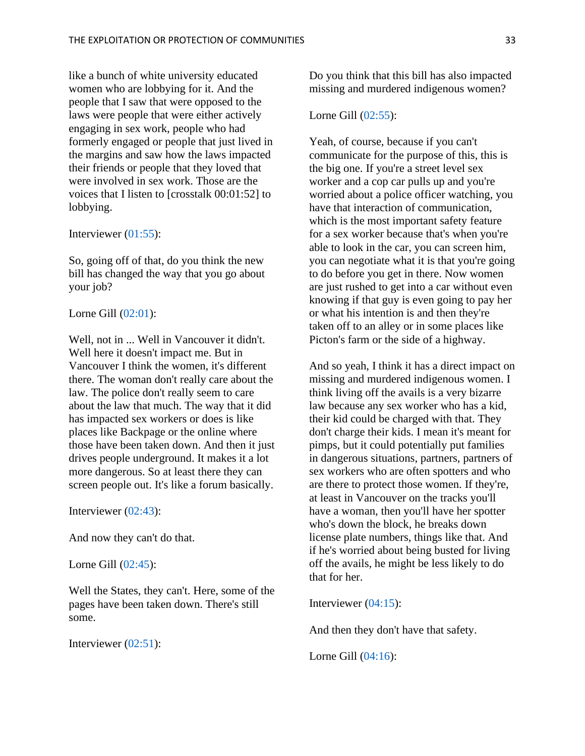like a bunch of white university educated women who are lobbying for it. And the people that I saw that were opposed to the laws were people that were either actively engaging in sex work, people who had formerly engaged or people that just lived in the margins and saw how the laws impacted their friends or people that they loved that were involved in sex work. Those are the voices that I listen to [crosstalk 00:01:52] to lobbying.

#### Interviewer [\(01:55\)](https://www.rev.com/transcript-editor/Edit?token=ojhJI4VyUgybklQUNm-xuRNEx3n_OaAinbe-4ux_oy9bbn3SFq1nvfJV2nG9Y4WVkW4aJkPi8JQF2ohGjVgURiMIMRs&loadFrom=DocumentDeeplink&ts=115.99):

So, going off of that, do you think the new bill has changed the way that you go about your job?

#### Lorne Gill [\(02:01\)](https://www.rev.com/transcript-editor/Edit?token=4Hetadj2te99I-0qNt9AHTJ4IeqiY3jHMfFhJ7meR0uU8eEW_ZkAvsqUCUnVTX8JbEKuUQ3ObXoXXiHytGtpoGaqW0s&loadFrom=DocumentDeeplink&ts=121.57):

Well, not in ... Well in Vancouver it didn't. Well here it doesn't impact me. But in Vancouver I think the women, it's different there. The woman don't really care about the law. The police don't really seem to care about the law that much. The way that it did has impacted sex workers or does is like places like Backpage or the online where those have been taken down. And then it just drives people underground. It makes it a lot more dangerous. So at least there they can screen people out. It's like a forum basically.

Interviewer [\(02:43\)](https://www.rev.com/transcript-editor/Edit?token=DTysyW2nS3UjE3EvF-cPqE6c6DXH3zQKf-VLINnKSokRgMDtr9L1kteBloN7SHjYDYX1wi9Ekny45oOc8WNlk5OjBxg&loadFrom=DocumentDeeplink&ts=163.14):

And now they can't do that.

Lorne Gill [\(02:45\)](https://www.rev.com/transcript-editor/Edit?token=i4wAlOEsf6hktsIV5cW-g21VOlUOSP7fFUdcYq1QF9e8xoHPvZWtIrNM8M-l3Mk0OTy3cGiuWqxTFF5t8tCS904c06c&loadFrom=DocumentDeeplink&ts=165.05):

Well the States, they can't. Here, some of the pages have been taken down. There's still some.

Interviewer [\(02:51\)](https://www.rev.com/transcript-editor/Edit?token=CLP184D-WWQYUmJli9oaOtlBsyVq4BokDvv3pNVeMtocCCF9lGHIRhyvt9OGbRNjhID1lFlHFsX0fS4be0eZH0WNHqk&loadFrom=DocumentDeeplink&ts=171.83):

Do you think that this bill has also impacted missing and murdered indigenous women?

# Lorne Gill [\(02:55\)](https://www.rev.com/transcript-editor/Edit?token=unGyGneZiOu7tgFTMU3J71WkDup_94YDSaFWAoJlZYCZJG2-X9TN7d1IX5G2U_9HsA97KTatbW9nrXitSEzcB-1H7Mg&loadFrom=DocumentDeeplink&ts=175.93):

Yeah, of course, because if you can't communicate for the purpose of this, this is the big one. If you're a street level sex worker and a cop car pulls up and you're worried about a police officer watching, you have that interaction of communication, which is the most important safety feature for a sex worker because that's when you're able to look in the car, you can screen him, you can negotiate what it is that you're going to do before you get in there. Now women are just rushed to get into a car without even knowing if that guy is even going to pay her or what his intention is and then they're taken off to an alley or in some places like Picton's farm or the side of a highway.

And so yeah, I think it has a direct impact on missing and murdered indigenous women. I think living off the avails is a very bizarre law because any sex worker who has a kid, their kid could be charged with that. They don't charge their kids. I mean it's meant for pimps, but it could potentially put families in dangerous situations, partners, partners of sex workers who are often spotters and who are there to protect those women. If they're, at least in Vancouver on the tracks you'll have a woman, then you'll have her spotter who's down the block, he breaks down license plate numbers, things like that. And if he's worried about being busted for living off the avails, he might be less likely to do that for her.

Interviewer [\(04:15\)](https://www.rev.com/transcript-editor/Edit?token=Twegc-aBNhz4dEhupIE9ia-YUPEHzZZEtP8d14At5WA8C56-fPFafq27WTbGK97CZ_8aBglFBpMrfEhFAneBjKi_eeM&loadFrom=DocumentDeeplink&ts=255.56):

And then they don't have that safety.

Lorne Gill [\(04:16\)](https://www.rev.com/transcript-editor/Edit?token=BxCUViBonkw2xlzWS-JY6d15Ddr0F3uKSo-dC5qS0hiXoiofnDElkoUVezWsHvrmwlMbazM1s0S5MR7l2HvHlFfJUe8&loadFrom=DocumentDeeplink&ts=256.39):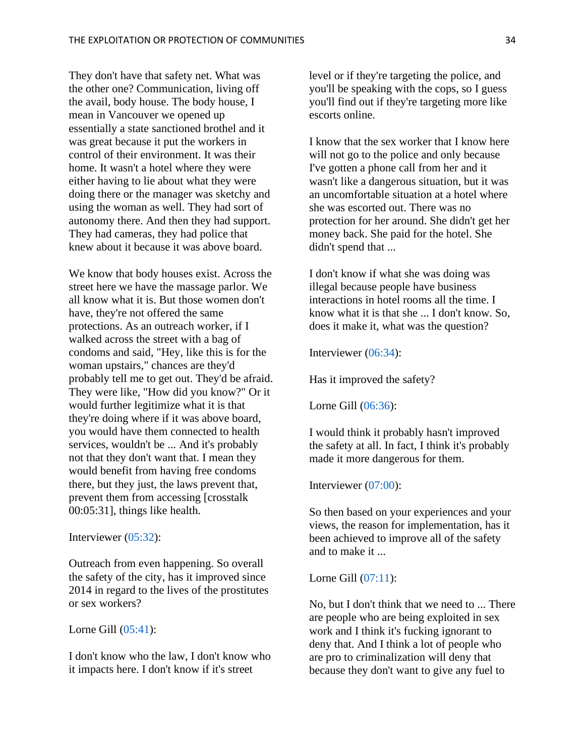They don't have that safety net. What was the other one? Communication, living off the avail, body house. The body house, I mean in Vancouver we opened up essentially a state sanctioned brothel and it was great because it put the workers in control of their environment. It was their home. It wasn't a hotel where they were either having to lie about what they were doing there or the manager was sketchy and using the woman as well. They had sort of autonomy there. And then they had support. They had cameras, they had police that knew about it because it was above board.

We know that body houses exist. Across the street here we have the massage parlor. We all know what it is. But those women don't have, they're not offered the same protections. As an outreach worker, if I walked across the street with a bag of condoms and said, "Hey, like this is for the woman upstairs," chances are they'd probably tell me to get out. They'd be afraid. They were like, "How did you know?" Or it would further legitimize what it is that they're doing where if it was above board, you would have them connected to health services, wouldn't be ... And it's probably not that they don't want that. I mean they would benefit from having free condoms there, but they just, the laws prevent that, prevent them from accessing [crosstalk 00:05:31], things like health.

Interviewer [\(05:32\)](https://www.rev.com/transcript-editor/Edit?token=NmFvyRYeb4DUq3f7zFbMW4QweVhPV0bgPIc_uNGJMscQAh_u-whrk8P0s1hkZYmSNNzcb_KSbc4W4I1wqDH0O0ix_q4&loadFrom=DocumentDeeplink&ts=332.08):

Outreach from even happening. So overall the safety of the city, has it improved since 2014 in regard to the lives of the prostitutes or sex workers?

#### Lorne Gill [\(05:41\)](https://www.rev.com/transcript-editor/Edit?token=ira-FvKnlW2tA2-Vg6ootKOtIo9wtCIP4C6NFSCu3-9LS3cuCUnP4aOFG0lsZ-viJrP0K4XgVC5IWhv8zFydjTaar8o&loadFrom=DocumentDeeplink&ts=341.84):

I don't know who the law, I don't know who it impacts here. I don't know if it's street

level or if they're targeting the police, and you'll be speaking with the cops, so I guess you'll find out if they're targeting more like escorts online.

I know that the sex worker that I know here will not go to the police and only because I've gotten a phone call from her and it wasn't like a dangerous situation, but it was an uncomfortable situation at a hotel where she was escorted out. There was no protection for her around. She didn't get her money back. She paid for the hotel. She didn't spend that ...

I don't know if what she was doing was illegal because people have business interactions in hotel rooms all the time. I know what it is that she ... I don't know. So, does it make it, what was the question?

Interviewer [\(06:34\)](https://www.rev.com/transcript-editor/Edit?token=G0ZWe46fTTJ_aCkYlwpWUlf3w3vpSlq4yxgCkQeNxTnaq7ih3AwIY2y7EgM-gBZAOWF6UBP4W1vPayz4sg_E8N4e74k&loadFrom=DocumentDeeplink&ts=394.54):

Has it improved the safety?

Lorne Gill [\(06:36\)](https://www.rev.com/transcript-editor/Edit?token=-uQHTVo9mhDMICudzN7kyQ6RCOvak_LzxEwfNsxeHuvlj3Fx_Q3tFkWm4_zGF9J3Va1m8JBS-9kQ99591T2MKNyPvEc&loadFrom=DocumentDeeplink&ts=396.49):

I would think it probably hasn't improved the safety at all. In fact, I think it's probably made it more dangerous for them.

Interviewer [\(07:00\)](https://www.rev.com/transcript-editor/Edit?token=cDwjaToPq3raUZ0HjXVyy0Tofh_zbALe7hOCTDfOGNJciYbb8htl1xTL48Pdg-B1ezzUSW-230C-jUnAAGaABjbOj-E&loadFrom=DocumentDeeplink&ts=420.11):

So then based on your experiences and your views, the reason for implementation, has it been achieved to improve all of the safety and to make it ...

# Lorne Gill [\(07:11\)](https://www.rev.com/transcript-editor/Edit?token=iyU3_G48vebsPjwU_dQoXvp-Scxfo90w7EgJpCaYklZbVLx9tgcFzbNMXAyu7bbqIvkMjIYIuaF-PIUf-uDGF1OZYqM&loadFrom=DocumentDeeplink&ts=431.35):

No, but I don't think that we need to ... There are people who are being exploited in sex work and I think it's fucking ignorant to deny that. And I think a lot of people who are pro to criminalization will deny that because they don't want to give any fuel to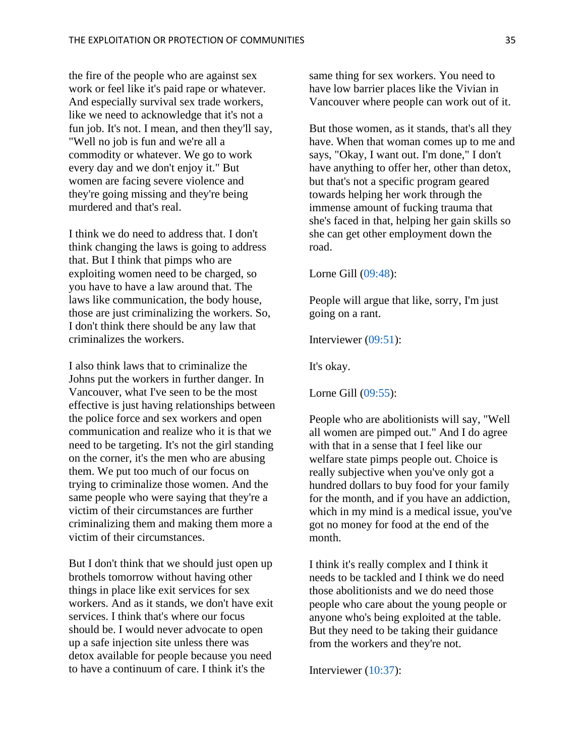the fire of the people who are against sex work or feel like it's paid rape or whatever. And especially survival sex trade workers, like we need to acknowledge that it's not a fun job. It's not. I mean, and then they'll say, "Well no job is fun and we're all a commodity or whatever. We go to work every day and we don't enjoy it." But women are facing severe violence and they're going missing and they're being murdered and that's real.

I think we do need to address that. I don't think changing the laws is going to address that. But I think that pimps who are exploiting women need to be charged, so you have to have a law around that. The laws like communication, the body house, those are just criminalizing the workers. So, I don't think there should be any law that criminalizes the workers.

I also think laws that to criminalize the Johns put the workers in further danger. In Vancouver, what I've seen to be the most effective is just having relationships between the police force and sex workers and open communication and realize who it is that we need to be targeting. It's not the girl standing on the corner, it's the men who are abusing them. We put too much of our focus on trying to criminalize those women. And the same people who were saying that they're a victim of their circumstances are further criminalizing them and making them more a victim of their circumstances.

But I don't think that we should just open up brothels tomorrow without having other things in place like exit services for sex workers. And as it stands, we don't have exit services. I think that's where our focus should be. I would never advocate to open up a safe injection site unless there was detox available for people because you need to have a continuum of care. I think it's the

same thing for sex workers. You need to have low barrier places like the Vivian in Vancouver where people can work out of it.

But those women, as it stands, that's all they have. When that woman comes up to me and says, "Okay, I want out. I'm done," I don't have anything to offer her, other than detox, but that's not a specific program geared towards helping her work through the immense amount of fucking trauma that she's faced in that, helping her gain skills so she can get other employment down the road.

Lorne Gill [\(09:48\)](https://www.rev.com/transcript-editor/Edit?token=O4-9wU7FzCCuTVUPt7Tr6V7Y-VfiHzpuNL2hN2hm2ZckjmZb5mmynA732LjupCMI4l7Q7RU0nbkqLPUswDivwP5mjRs&loadFrom=DocumentDeeplink&ts=588.93):

People will argue that like, sorry, I'm just going on a rant.

Interviewer [\(09:51\)](https://www.rev.com/transcript-editor/Edit?token=Z5zbJLZJTbrMma6-lhRpgdEyJbtVqhaZccjGqtpQgdj4dwJjxuHL5USoiTKcG-Ruzl9fG-O6G6J3nNCHxEdqy2q_St8&loadFrom=DocumentDeeplink&ts=591.6):

It's okay.

Lorne Gill [\(09:55\)](https://www.rev.com/transcript-editor/Edit?token=Lbs07Us0Ywo2EjOduHHe02P_BnIdEW5v8VHeRT-z_qPSZDxusN5-fzUpKtkvzi5pOzJtFNG6jVFxOSo6CCLreh6G7lk&loadFrom=DocumentDeeplink&ts=595.26):

People who are abolitionists will say, "Well all women are pimped out." And I do agree with that in a sense that I feel like our welfare state pimps people out. Choice is really subjective when you've only got a hundred dollars to buy food for your family for the month, and if you have an addiction, which in my mind is a medical issue, you've got no money for food at the end of the month.

I think it's really complex and I think it needs to be tackled and I think we do need those abolitionists and we do need those people who care about the young people or anyone who's being exploited at the table. But they need to be taking their guidance from the workers and they're not.

Interviewer [\(10:37\)](https://www.rev.com/transcript-editor/Edit?token=PB1YDdqVkO7D-yrtGP7TNRU2AkxCH_WrVNhx3rC0NEUBbvsyX21auVMST2k0fXOCO3lUzReMO4tnh1TpwDtcYXlo_Jw&loadFrom=DocumentDeeplink&ts=637.73):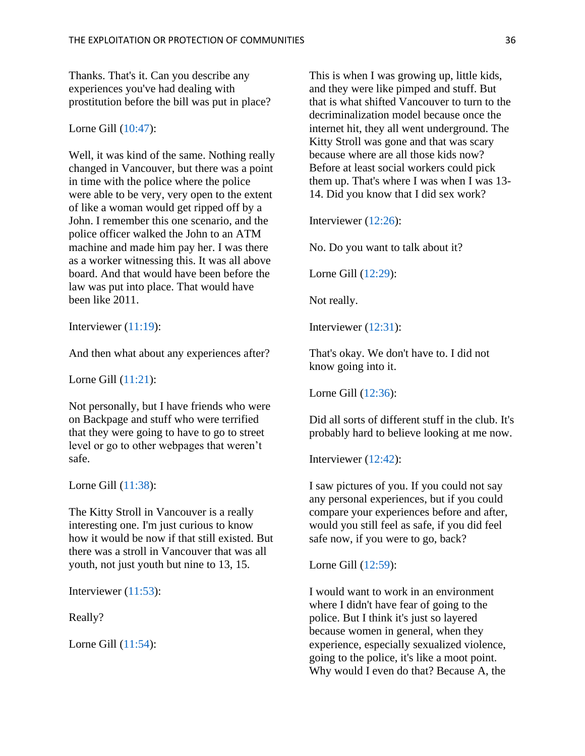Thanks. That's it. Can you describe any experiences you've had dealing with prostitution before the bill was put in place?

#### Lorne Gill [\(10:47\)](https://www.rev.com/transcript-editor/Edit?token=q3dy_Ngp-7ePs3llIYV-H70x5Ow_vZrI0wLP4a9xHsIqpNUmE88HwHNcrNDt-JF9ZvTeFHmb9_xUqW2lAA-RhS-1QVY&loadFrom=DocumentDeeplink&ts=647.7):

Well, it was kind of the same. Nothing really changed in Vancouver, but there was a point in time with the police where the police were able to be very, very open to the extent of like a woman would get ripped off by a John. I remember this one scenario, and the police officer walked the John to an ATM machine and made him pay her. I was there as a worker witnessing this. It was all above board. And that would have been before the law was put into place. That would have been like 2011.

Interviewer [\(11:19\)](https://www.rev.com/transcript-editor/Edit?token=c_smAr8CiAAHqhKkVrDOUDZ7gugVeVEwWkq9hbfYHsz8rCvHVC9O1I37QKj0focvc8sOjkeqa6gYczQqPmb34YMDplg&loadFrom=DocumentDeeplink&ts=679.29):

And then what about any experiences after?

Lorne Gill [\(11:21\)](https://www.rev.com/transcript-editor/Edit?token=vF-bj2pmd6YOu8gHgMxLerY5B1Yi7DXA27Eyw5pYFoDSP-NI66gSIsav0FgTj6rM5DuCdvoj1rzk-ICwYtY46cBxnNY&loadFrom=DocumentDeeplink&ts=681.55):

Not personally, but I have friends who were on Backpage and stuff who were terrified that they were going to have to go to street level or go to other webpages that weren't safe.

Lorne Gill [\(11:38\)](https://www.rev.com/transcript-editor/Edit?token=gwSWRzcYuhAhwG3cE36YYGH2TylJRO4QIu5uTICRrs8KlS9R0iJw9EAH5OCu0lFyHfl3q8djmhvxxGCQKCPcosZdI7M&loadFrom=DocumentDeeplink&ts=698.89):

The Kitty Stroll in Vancouver is a really interesting one. I'm just curious to know how it would be now if that still existed. But there was a stroll in Vancouver that was all youth, not just youth but nine to 13, 15.

Interviewer [\(11:53\)](https://www.rev.com/transcript-editor/Edit?token=-V9S4BQNKoF8JeiOvfSEZXS6__pjJfpcUJl80xmeesfAKfHXTGXf_PpQa11fUJa_UV0kk5pZ_dQOMTqd_Td8GNEty4g&loadFrom=DocumentDeeplink&ts=713.33):

Really?

Lorne Gill [\(11:54\)](https://www.rev.com/transcript-editor/Edit?token=EKPF79VjfVVa0AopqPyRvJgadfK5SECPPrglQemJ90FU72V5Gv1jtaO5L239qmR7nOSUn645QumqiIaFeTPXF9KThAs&loadFrom=DocumentDeeplink&ts=714.66):

This is when I was growing up, little kids, and they were like pimped and stuff. But that is what shifted Vancouver to turn to the decriminalization model because once the internet hit, they all went underground. The Kitty Stroll was gone and that was scary because where are all those kids now? Before at least social workers could pick them up. That's where I was when I was 13- 14. Did you know that I did sex work?

Interviewer [\(12:26\)](https://www.rev.com/transcript-editor/Edit?token=U5YOOXMGN0NN4GQRvciaN39UiaOs-9eTm7VecvVL7Xm1xrnhz6xU-G60lrBL75CJFGjgyK-Wd22Ge8AlDYHpQPpGmh8&loadFrom=DocumentDeeplink&ts=746.79):

No. Do you want to talk about it?

Lorne Gill [\(12:29\)](https://www.rev.com/transcript-editor/Edit?token=_xgK6cuIAmj8gvEr-lodJvx1pojBCItN5QPT6EWUWvdK4hh4gV1VFu17vrffVtY3VmNlr1gGKF0980H3CPx099UuxgM&loadFrom=DocumentDeeplink&ts=749.9):

Not really.

Interviewer [\(12:31\)](https://www.rev.com/transcript-editor/Edit?token=e-RjT2SyryKAbitucLF2znIaR4HtkgQ-qkVG975FJB-0_ZHXHB3i7Wm1F2jSSblNZSh9arZT40imrjSCPsFh2RoQVfg&loadFrom=DocumentDeeplink&ts=751.44):

That's okay. We don't have to. I did not know going into it.

Lorne Gill [\(12:36\)](https://www.rev.com/transcript-editor/Edit?token=BSMbnJmPprNXfj8raE3hvAoVuqQ0e8da_mZ-epO4iZYaNYzXIf9VH9zcQOqvoGvYw_-53kfA10K3iKsbv4UWUNeNkPk&loadFrom=DocumentDeeplink&ts=756.39):

Did all sorts of different stuff in the club. It's probably hard to believe looking at me now.

Interviewer [\(12:42\)](https://www.rev.com/transcript-editor/Edit?token=DSOidIAsbNEKxrP18D9HiupFmSmQqW8eCQEQ1qKIVuaTziAUjA_8QS7OzL2MOXHjXAW7hQdf0MummwXMkre15Tqtq_8&loadFrom=DocumentDeeplink&ts=762.96):

I saw pictures of you. If you could not say any personal experiences, but if you could compare your experiences before and after, would you still feel as safe, if you did feel safe now, if you were to go, back?

Lorne Gill [\(12:59\)](https://www.rev.com/transcript-editor/Edit?token=i-WH4vBAyNKKhrUqCMX5bU0ruL8NbTFRfhSPO-QDtxkeusROFUNsXXRcuTVbJAlTHIRJf1Qe9uPKpv1L6mi8xL1vCeQ&loadFrom=DocumentDeeplink&ts=779.72):

I would want to work in an environment where I didn't have fear of going to the police. But I think it's just so layered because women in general, when they experience, especially sexualized violence, going to the police, it's like a moot point. Why would I even do that? Because A, the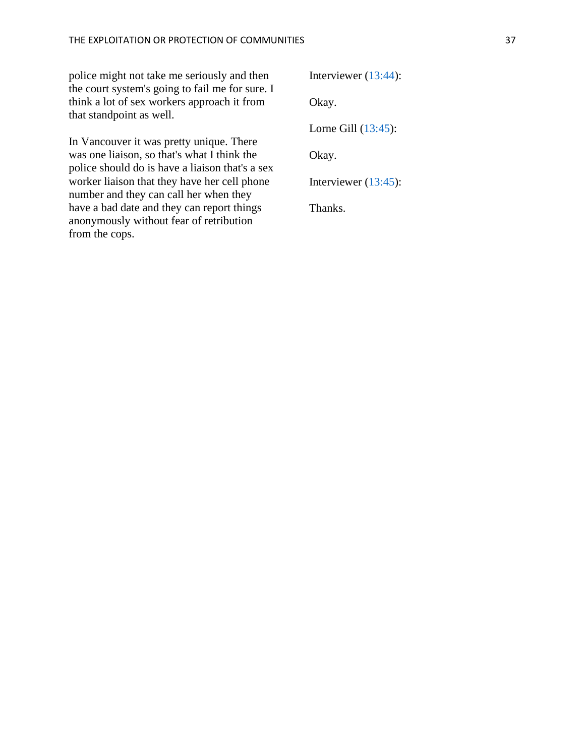police might not take me seriously and then the court system's going to fail me for sure. I think a lot of sex workers approach it from that standpoint as well.

In Vancouver it was pretty unique. There was one liaison, so that's what I think the police should do is have a liaison that's a sex worker liaison that they have her cell phone number and they can call her when they have a bad date and they can report things anonymously without fear of retribution from the cops.

Interviewer [\(13:44\)](https://www.rev.com/transcript-editor/Edit?token=IixiLXvkc8c7AholPxtZC4sI_aVNdss9G-es4gACe7Kv69YzYX7eooPN44bB94e0WL59HYNxteNge_7aVV2uJll9Qb4&loadFrom=DocumentDeeplink&ts=824.6):

Okay.

Lorne Gill [\(13:45\)](https://www.rev.com/transcript-editor/Edit?token=DuwIzKdzoOj-tbYo5fxJuglTWZkAgAAmmSljdRidGHbb3g3Tfq4utduHhlk02Qc31YpI2BZ6N3zCr9mRLWDc8hEVSu8&loadFrom=DocumentDeeplink&ts=825.08):

Okay.

Interviewer [\(13:45\)](https://www.rev.com/transcript-editor/Edit?token=7vUxUcJfBD8fUqLb9LvcebZXhkWqU5bUoUhxLBd0o0soLF2ZoNtQ5kw7mA1SBfK1-KQdVDS6YmayWQPh92DcQi7y8N4&loadFrom=DocumentDeeplink&ts=825.42):

Thanks.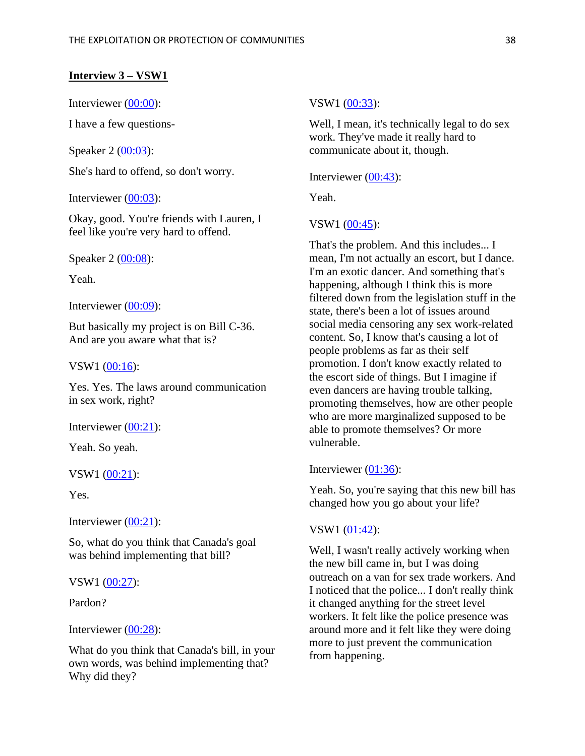#### **Interview 3 – VSW1**

Interviewer [\(00:00\)](https://www.rev.com/transcript-editor/shared/BSIdljrvkAPQ86pphZhTt4dTr2jkehW8yFVPwC4U1uUxh3JmvEbhXB4IMooGmA99FI1ItoL9Zxk9FOaWUo5g-IbiAXY?loadFrom=DocumentDeeplink&ts=0):

I have a few questions-

Speaker  $2 (00:03)$  $2 (00:03)$ :

She's hard to offend, so don't worry.

Interviewer [\(00:03\)](https://www.rev.com/transcript-editor/shared/BSIdljrvkAPQ86pphZhTt4dTr2jkehW8yFVPwC4U1uUxh3JmvEbhXB4IMooGmA99FI1ItoL9Zxk9FOaWUo5g-IbiAXY?loadFrom=DocumentDeeplink&ts=3.18):

Okay, good. You're friends with Lauren, I feel like you're very hard to offend.

Speaker 2 [\(00:08\)](https://www.rev.com/transcript-editor/shared/BSIdljrvkAPQ86pphZhTt4dTr2jkehW8yFVPwC4U1uUxh3JmvEbhXB4IMooGmA99FI1ItoL9Zxk9FOaWUo5g-IbiAXY?loadFrom=DocumentDeeplink&ts=8.21):

Yeah.

Interviewer [\(00:09\)](https://www.rev.com/transcript-editor/shared/BSIdljrvkAPQ86pphZhTt4dTr2jkehW8yFVPwC4U1uUxh3JmvEbhXB4IMooGmA99FI1ItoL9Zxk9FOaWUo5g-IbiAXY?loadFrom=DocumentDeeplink&ts=9.42):

But basically my project is on Bill C-36. And are you aware what that is?

VSW1  $(00:16)$ :

Yes. Yes. The laws around communication in sex work, right?

Interviewer [\(00:21\)](https://www.rev.com/transcript-editor/shared/BSIdljrvkAPQ86pphZhTt4dTr2jkehW8yFVPwC4U1uUxh3JmvEbhXB4IMooGmA99FI1ItoL9Zxk9FOaWUo5g-IbiAXY?loadFrom=DocumentDeeplink&ts=21.2):

Yeah. So yeah.

VSW1 [\(00:21\)](https://www.rev.com/transcript-editor/shared/BSIdljrvkAPQ86pphZhTt4dTr2jkehW8yFVPwC4U1uUxh3JmvEbhXB4IMooGmA99FI1ItoL9Zxk9FOaWUo5g-IbiAXY?loadFrom=DocumentDeeplink&ts=21.76):

Yes.

Interviewer [\(00:21\)](https://www.rev.com/transcript-editor/shared/BSIdljrvkAPQ86pphZhTt4dTr2jkehW8yFVPwC4U1uUxh3JmvEbhXB4IMooGmA99FI1ItoL9Zxk9FOaWUo5g-IbiAXY?loadFrom=DocumentDeeplink&ts=21.76):

So, what do you think that Canada's goal was behind implementing that bill?

VSW1 [\(00:27\)](https://www.rev.com/transcript-editor/shared/BSIdljrvkAPQ86pphZhTt4dTr2jkehW8yFVPwC4U1uUxh3JmvEbhXB4IMooGmA99FI1ItoL9Zxk9FOaWUo5g-IbiAXY?loadFrom=DocumentDeeplink&ts=27.47):

Pardon?

# Interviewer [\(00:28\)](https://www.rev.com/transcript-editor/shared/BSIdljrvkAPQ86pphZhTt4dTr2jkehW8yFVPwC4U1uUxh3JmvEbhXB4IMooGmA99FI1ItoL9Zxk9FOaWUo5g-IbiAXY?loadFrom=DocumentDeeplink&ts=28.11):

What do you think that Canada's bill, in your own words, was behind implementing that? Why did they?

#### VSW1 [\(00:33\)](https://www.rev.com/transcript-editor/shared/BSIdljrvkAPQ86pphZhTt4dTr2jkehW8yFVPwC4U1uUxh3JmvEbhXB4IMooGmA99FI1ItoL9Zxk9FOaWUo5g-IbiAXY?loadFrom=DocumentDeeplink&ts=33.9):

Well, I mean, it's technically legal to do sex work. They've made it really hard to communicate about it, though.

Interviewer [\(00:43\)](https://www.rev.com/transcript-editor/shared/BSIdljrvkAPQ86pphZhTt4dTr2jkehW8yFVPwC4U1uUxh3JmvEbhXB4IMooGmA99FI1ItoL9Zxk9FOaWUo5g-IbiAXY?loadFrom=DocumentDeeplink&ts=43.15):

Yeah.

#### VSW1 [\(00:45\)](https://www.rev.com/transcript-editor/shared/BSIdljrvkAPQ86pphZhTt4dTr2jkehW8yFVPwC4U1uUxh3JmvEbhXB4IMooGmA99FI1ItoL9Zxk9FOaWUo5g-IbiAXY?loadFrom=DocumentDeeplink&ts=45):

That's the problem. And this includes... I mean, I'm not actually an escort, but I dance. I'm an exotic dancer. And something that's happening, although I think this is more filtered down from the legislation stuff in the state, there's been a lot of issues around social media censoring any sex work-related content. So, I know that's causing a lot of people problems as far as their self promotion. I don't know exactly related to the escort side of things. But I imagine if even dancers are having trouble talking, promoting themselves, how are other people who are more marginalized supposed to be able to promote themselves? Or more vulnerable.

# Interviewer [\(01:36\)](https://www.rev.com/transcript-editor/shared/BSIdljrvkAPQ86pphZhTt4dTr2jkehW8yFVPwC4U1uUxh3JmvEbhXB4IMooGmA99FI1ItoL9Zxk9FOaWUo5g-IbiAXY?loadFrom=DocumentDeeplink&ts=96.6):

Yeah. So, you're saying that this new bill has changed how you go about your life?

#### VSW1 [\(01:42\)](https://www.rev.com/transcript-editor/shared/BSIdljrvkAPQ86pphZhTt4dTr2jkehW8yFVPwC4U1uUxh3JmvEbhXB4IMooGmA99FI1ItoL9Zxk9FOaWUo5g-IbiAXY?loadFrom=DocumentDeeplink&ts=102.99):

Well, I wasn't really actively working when the new bill came in, but I was doing outreach on a van for sex trade workers. And I noticed that the police... I don't really think it changed anything for the street level workers. It felt like the police presence was around more and it felt like they were doing more to just prevent the communication from happening.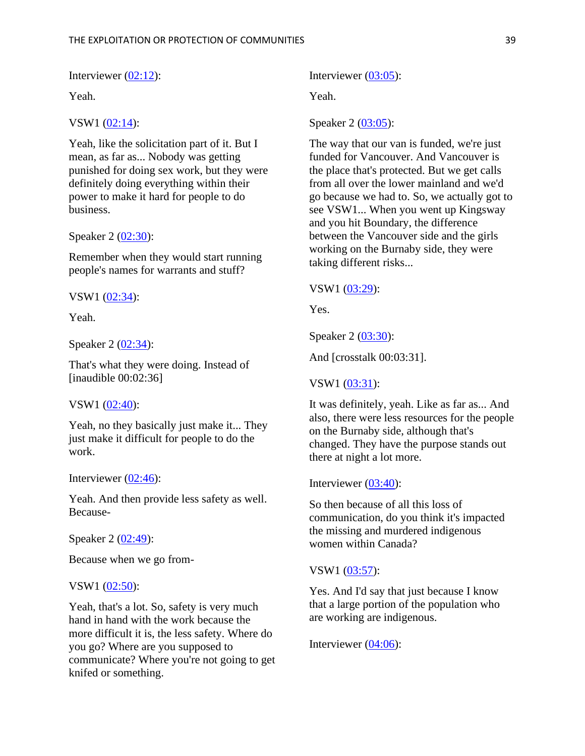Interviewer [\(02:12\)](https://www.rev.com/transcript-editor/shared/BSIdljrvkAPQ86pphZhTt4dTr2jkehW8yFVPwC4U1uUxh3JmvEbhXB4IMooGmA99FI1ItoL9Zxk9FOaWUo5g-IbiAXY?loadFrom=DocumentDeeplink&ts=132.97):

Yeah.

# VSW1 [\(02:14\)](https://www.rev.com/transcript-editor/shared/BSIdljrvkAPQ86pphZhTt4dTr2jkehW8yFVPwC4U1uUxh3JmvEbhXB4IMooGmA99FI1ItoL9Zxk9FOaWUo5g-IbiAXY?loadFrom=DocumentDeeplink&ts=134.9):

Yeah, like the solicitation part of it. But I mean, as far as... Nobody was getting punished for doing sex work, but they were definitely doing everything within their power to make it hard for people to do business.

#### Speaker 2 [\(02:30\)](https://www.rev.com/transcript-editor/shared/BSIdljrvkAPQ86pphZhTt4dTr2jkehW8yFVPwC4U1uUxh3JmvEbhXB4IMooGmA99FI1ItoL9Zxk9FOaWUo5g-IbiAXY?loadFrom=DocumentDeeplink&ts=150.36):

Remember when they would start running people's names for warrants and stuff?

VSW1 [\(02:34\)](https://www.rev.com/transcript-editor/shared/BSIdljrvkAPQ86pphZhTt4dTr2jkehW8yFVPwC4U1uUxh3JmvEbhXB4IMooGmA99FI1ItoL9Zxk9FOaWUo5g-IbiAXY?loadFrom=DocumentDeeplink&ts=154.51):

Yeah.

Speaker 2 [\(02:34\)](https://www.rev.com/transcript-editor/shared/BSIdljrvkAPQ86pphZhTt4dTr2jkehW8yFVPwC4U1uUxh3JmvEbhXB4IMooGmA99FI1ItoL9Zxk9FOaWUo5g-IbiAXY?loadFrom=DocumentDeeplink&ts=154.99):

That's what they were doing. Instead of [inaudible 00:02:36]

#### VSW1 [\(02:40\)](https://www.rev.com/transcript-editor/shared/BSIdljrvkAPQ86pphZhTt4dTr2jkehW8yFVPwC4U1uUxh3JmvEbhXB4IMooGmA99FI1ItoL9Zxk9FOaWUo5g-IbiAXY?loadFrom=DocumentDeeplink&ts=160.27):

Yeah, no they basically just make it... They just make it difficult for people to do the work.

Interviewer [\(02:46\)](https://www.rev.com/transcript-editor/shared/BSIdljrvkAPQ86pphZhTt4dTr2jkehW8yFVPwC4U1uUxh3JmvEbhXB4IMooGmA99FI1ItoL9Zxk9FOaWUo5g-IbiAXY?loadFrom=DocumentDeeplink&ts=166.18):

Yeah. And then provide less safety as well. Because-

Speaker 2 [\(02:49\)](https://www.rev.com/transcript-editor/shared/BSIdljrvkAPQ86pphZhTt4dTr2jkehW8yFVPwC4U1uUxh3JmvEbhXB4IMooGmA99FI1ItoL9Zxk9FOaWUo5g-IbiAXY?loadFrom=DocumentDeeplink&ts=169.29):

Because when we go from-

#### VSW1  $(02:50)$ :

Yeah, that's a lot. So, safety is very much hand in hand with the work because the more difficult it is, the less safety. Where do you go? Where are you supposed to communicate? Where you're not going to get knifed or something.

Interviewer [\(03:05\)](https://www.rev.com/transcript-editor/shared/BSIdljrvkAPQ86pphZhTt4dTr2jkehW8yFVPwC4U1uUxh3JmvEbhXB4IMooGmA99FI1ItoL9Zxk9FOaWUo5g-IbiAXY?loadFrom=DocumentDeeplink&ts=185.22):

Yeah.

#### Speaker 2 [\(03:05\)](https://www.rev.com/transcript-editor/shared/BSIdljrvkAPQ86pphZhTt4dTr2jkehW8yFVPwC4U1uUxh3JmvEbhXB4IMooGmA99FI1ItoL9Zxk9FOaWUo5g-IbiAXY?loadFrom=DocumentDeeplink&ts=185.86):

The way that our van is funded, we're just funded for Vancouver. And Vancouver is the place that's protected. But we get calls from all over the lower mainland and we'd go because we had to. So, we actually got to see VSW1... When you went up Kingsway and you hit Boundary, the difference between the Vancouver side and the girls working on the Burnaby side, they were taking different risks...

#### VSW1 [\(03:29\)](https://www.rev.com/transcript-editor/shared/BSIdljrvkAPQ86pphZhTt4dTr2jkehW8yFVPwC4U1uUxh3JmvEbhXB4IMooGmA99FI1ItoL9Zxk9FOaWUo5g-IbiAXY?loadFrom=DocumentDeeplink&ts=209.57):

Yes.

Speaker 2 [\(03:30\)](https://www.rev.com/transcript-editor/shared/BSIdljrvkAPQ86pphZhTt4dTr2jkehW8yFVPwC4U1uUxh3JmvEbhXB4IMooGmA99FI1ItoL9Zxk9FOaWUo5g-IbiAXY?loadFrom=DocumentDeeplink&ts=210.7):

And [crosstalk 00:03:31].

#### VSW1 [\(03:31\)](https://www.rev.com/transcript-editor/shared/BSIdljrvkAPQ86pphZhTt4dTr2jkehW8yFVPwC4U1uUxh3JmvEbhXB4IMooGmA99FI1ItoL9Zxk9FOaWUo5g-IbiAXY?loadFrom=DocumentDeeplink&ts=211.98):

It was definitely, yeah. Like as far as... And also, there were less resources for the people on the Burnaby side, although that's changed. They have the purpose stands out there at night a lot more.

#### Interviewer [\(03:40\)](https://www.rev.com/transcript-editor/shared/BSIdljrvkAPQ86pphZhTt4dTr2jkehW8yFVPwC4U1uUxh3JmvEbhXB4IMooGmA99FI1ItoL9Zxk9FOaWUo5g-IbiAXY?loadFrom=DocumentDeeplink&ts=220.75):

So then because of all this loss of communication, do you think it's impacted the missing and murdered indigenous women within Canada?

#### VSW1 [\(03:57\)](https://www.rev.com/transcript-editor/shared/BSIdljrvkAPQ86pphZhTt4dTr2jkehW8yFVPwC4U1uUxh3JmvEbhXB4IMooGmA99FI1ItoL9Zxk9FOaWUo5g-IbiAXY?loadFrom=DocumentDeeplink&ts=237.43):

Yes. And I'd say that just because I know that a large portion of the population who are working are indigenous.

Interviewer [\(04:06\)](https://www.rev.com/transcript-editor/shared/BSIdljrvkAPQ86pphZhTt4dTr2jkehW8yFVPwC4U1uUxh3JmvEbhXB4IMooGmA99FI1ItoL9Zxk9FOaWUo5g-IbiAXY?loadFrom=DocumentDeeplink&ts=246.6):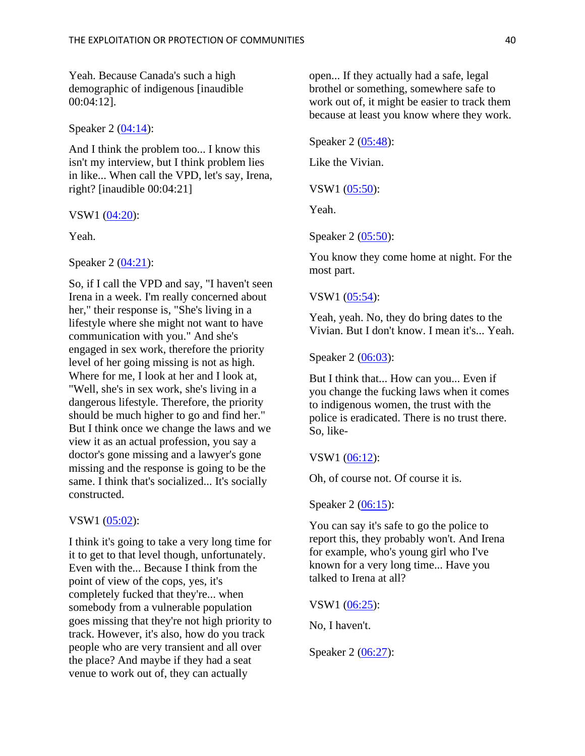Yeah. Because Canada's such a high demographic of indigenous [inaudible 00:04:12].

Speaker 2 [\(04:14\)](https://www.rev.com/transcript-editor/shared/BSIdljrvkAPQ86pphZhTt4dTr2jkehW8yFVPwC4U1uUxh3JmvEbhXB4IMooGmA99FI1ItoL9Zxk9FOaWUo5g-IbiAXY?loadFrom=DocumentDeeplink&ts=254):

And I think the problem too... I know this isn't my interview, but I think problem lies in like... When call the VPD, let's say, Irena, right? [inaudible 00:04:21]

VSW1 [\(04:20\)](https://www.rev.com/transcript-editor/shared/BSIdljrvkAPQ86pphZhTt4dTr2jkehW8yFVPwC4U1uUxh3JmvEbhXB4IMooGmA99FI1ItoL9Zxk9FOaWUo5g-IbiAXY?loadFrom=DocumentDeeplink&ts=260.95):

Yeah.

Speaker 2 [\(04:21\)](https://www.rev.com/transcript-editor/shared/BSIdljrvkAPQ86pphZhTt4dTr2jkehW8yFVPwC4U1uUxh3JmvEbhXB4IMooGmA99FI1ItoL9Zxk9FOaWUo5g-IbiAXY?loadFrom=DocumentDeeplink&ts=261.51):

So, if I call the VPD and say, "I haven't seen Irena in a week. I'm really concerned about her," their response is, "She's living in a lifestyle where she might not want to have communication with you." And she's engaged in sex work, therefore the priority level of her going missing is not as high. Where for me, I look at her and I look at, "Well, she's in sex work, she's living in a dangerous lifestyle. Therefore, the priority should be much higher to go and find her." But I think once we change the laws and we view it as an actual profession, you say a doctor's gone missing and a lawyer's gone missing and the response is going to be the same. I think that's socialized... It's socially constructed.

#### VSW1 [\(05:02\)](https://www.rev.com/transcript-editor/shared/BSIdljrvkAPQ86pphZhTt4dTr2jkehW8yFVPwC4U1uUxh3JmvEbhXB4IMooGmA99FI1ItoL9Zxk9FOaWUo5g-IbiAXY?loadFrom=DocumentDeeplink&ts=302.15):

I think it's going to take a very long time for it to get to that level though, unfortunately. Even with the... Because I think from the point of view of the cops, yes, it's completely fucked that they're... when somebody from a vulnerable population goes missing that they're not high priority to track. However, it's also, how do you track people who are very transient and all over the place? And maybe if they had a seat venue to work out of, they can actually

open... If they actually had a safe, legal brothel or something, somewhere safe to work out of, it might be easier to track them because at least you know where they work.

Speaker 2 [\(05:48\)](https://www.rev.com/transcript-editor/shared/BSIdljrvkAPQ86pphZhTt4dTr2jkehW8yFVPwC4U1uUxh3JmvEbhXB4IMooGmA99FI1ItoL9Zxk9FOaWUo5g-IbiAXY?loadFrom=DocumentDeeplink&ts=348.41):

Like the Vivian.

VSW1 [\(05:50\)](https://www.rev.com/transcript-editor/shared/BSIdljrvkAPQ86pphZhTt4dTr2jkehW8yFVPwC4U1uUxh3JmvEbhXB4IMooGmA99FI1ItoL9Zxk9FOaWUo5g-IbiAXY?loadFrom=DocumentDeeplink&ts=350.58):

Yeah.

Speaker 2 [\(05:50\)](https://www.rev.com/transcript-editor/shared/BSIdljrvkAPQ86pphZhTt4dTr2jkehW8yFVPwC4U1uUxh3JmvEbhXB4IMooGmA99FI1ItoL9Zxk9FOaWUo5g-IbiAXY?loadFrom=DocumentDeeplink&ts=350.95):

You know they come home at night. For the most part.

#### VSW1 [\(05:54\)](https://www.rev.com/transcript-editor/shared/BSIdljrvkAPQ86pphZhTt4dTr2jkehW8yFVPwC4U1uUxh3JmvEbhXB4IMooGmA99FI1ItoL9Zxk9FOaWUo5g-IbiAXY?loadFrom=DocumentDeeplink&ts=354.28):

Yeah, yeah. No, they do bring dates to the Vivian. But I don't know. I mean it's... Yeah.

Speaker 2 [\(06:03\)](https://www.rev.com/transcript-editor/shared/BSIdljrvkAPQ86pphZhTt4dTr2jkehW8yFVPwC4U1uUxh3JmvEbhXB4IMooGmA99FI1ItoL9Zxk9FOaWUo5g-IbiAXY?loadFrom=DocumentDeeplink&ts=363.72):

But I think that... How can you... Even if you change the fucking laws when it comes to indigenous women, the trust with the police is eradicated. There is no trust there. So, like-

VSW1 [\(06:12\)](https://www.rev.com/transcript-editor/shared/BSIdljrvkAPQ86pphZhTt4dTr2jkehW8yFVPwC4U1uUxh3JmvEbhXB4IMooGmA99FI1ItoL9Zxk9FOaWUo5g-IbiAXY?loadFrom=DocumentDeeplink&ts=372.87):

Oh, of course not. Of course it is.

Speaker 2 [\(06:15\)](https://www.rev.com/transcript-editor/shared/BSIdljrvkAPQ86pphZhTt4dTr2jkehW8yFVPwC4U1uUxh3JmvEbhXB4IMooGmA99FI1ItoL9Zxk9FOaWUo5g-IbiAXY?loadFrom=DocumentDeeplink&ts=375.89):

You can say it's safe to go the police to report this, they probably won't. And Irena for example, who's young girl who I've known for a very long time... Have you talked to Irena at all?

VSW1 [\(06:25\)](https://www.rev.com/transcript-editor/shared/BSIdljrvkAPQ86pphZhTt4dTr2jkehW8yFVPwC4U1uUxh3JmvEbhXB4IMooGmA99FI1ItoL9Zxk9FOaWUo5g-IbiAXY?loadFrom=DocumentDeeplink&ts=385.91):

No, I haven't.

Speaker 2 [\(06:27\)](https://www.rev.com/transcript-editor/shared/BSIdljrvkAPQ86pphZhTt4dTr2jkehW8yFVPwC4U1uUxh3JmvEbhXB4IMooGmA99FI1ItoL9Zxk9FOaWUo5g-IbiAXY?loadFrom=DocumentDeeplink&ts=387.59):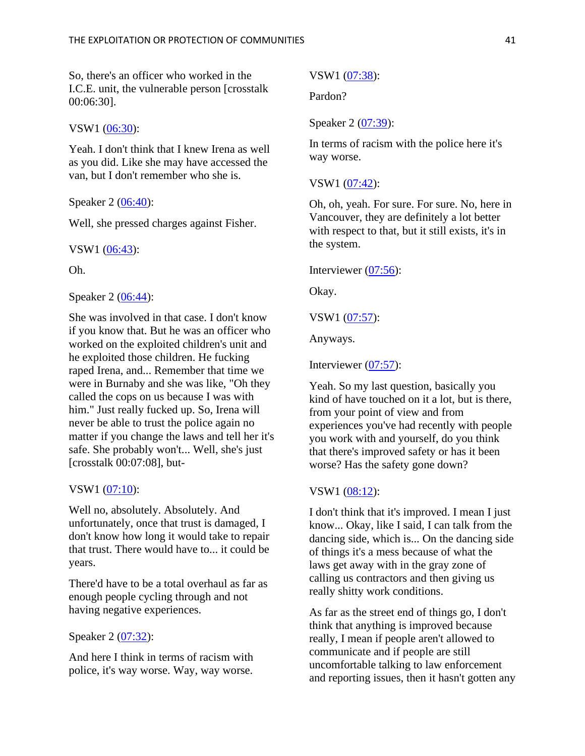So, there's an officer who worked in the I.C.E. unit, the vulnerable person [crosstalk 00:06:30].

#### VSW1 [\(06:30\)](https://www.rev.com/transcript-editor/shared/BSIdljrvkAPQ86pphZhTt4dTr2jkehW8yFVPwC4U1uUxh3JmvEbhXB4IMooGmA99FI1ItoL9Zxk9FOaWUo5g-IbiAXY?loadFrom=DocumentDeeplink&ts=390.98):

Yeah. I don't think that I knew Irena as well as you did. Like she may have accessed the van, but I don't remember who she is.

#### Speaker 2 [\(06:40\)](https://www.rev.com/transcript-editor/shared/BSIdljrvkAPQ86pphZhTt4dTr2jkehW8yFVPwC4U1uUxh3JmvEbhXB4IMooGmA99FI1ItoL9Zxk9FOaWUo5g-IbiAXY?loadFrom=DocumentDeeplink&ts=400.12):

Well, she pressed charges against Fisher.

VSW1 [\(06:43\)](https://www.rev.com/transcript-editor/shared/BSIdljrvkAPQ86pphZhTt4dTr2jkehW8yFVPwC4U1uUxh3JmvEbhXB4IMooGmA99FI1ItoL9Zxk9FOaWUo5g-IbiAXY?loadFrom=DocumentDeeplink&ts=403.98):

Oh.

### Speaker 2 [\(06:44\)](https://www.rev.com/transcript-editor/shared/BSIdljrvkAPQ86pphZhTt4dTr2jkehW8yFVPwC4U1uUxh3JmvEbhXB4IMooGmA99FI1ItoL9Zxk9FOaWUo5g-IbiAXY?loadFrom=DocumentDeeplink&ts=404.85):

She was involved in that case. I don't know if you know that. But he was an officer who worked on the exploited children's unit and he exploited those children. He fucking raped Irena, and... Remember that time we were in Burnaby and she was like, "Oh they called the cops on us because I was with him." Just really fucked up. So, Irena will never be able to trust the police again no matter if you change the laws and tell her it's safe. She probably won't... Well, she's just [crosstalk 00:07:08], but-

#### VSW1 [\(07:10\)](https://www.rev.com/transcript-editor/shared/BSIdljrvkAPQ86pphZhTt4dTr2jkehW8yFVPwC4U1uUxh3JmvEbhXB4IMooGmA99FI1ItoL9Zxk9FOaWUo5g-IbiAXY?loadFrom=DocumentDeeplink&ts=430.05):

Well no, absolutely. Absolutely. And unfortunately, once that trust is damaged, I don't know how long it would take to repair that trust. There would have to... it could be years.

There'd have to be a total overhaul as far as enough people cycling through and not having negative experiences.

# Speaker 2 [\(07:32\)](https://www.rev.com/transcript-editor/shared/BSIdljrvkAPQ86pphZhTt4dTr2jkehW8yFVPwC4U1uUxh3JmvEbhXB4IMooGmA99FI1ItoL9Zxk9FOaWUo5g-IbiAXY?loadFrom=DocumentDeeplink&ts=452.18):

And here I think in terms of racism with police, it's way worse. Way, way worse.

#### VSW1 [\(07:38\)](https://www.rev.com/transcript-editor/shared/BSIdljrvkAPQ86pphZhTt4dTr2jkehW8yFVPwC4U1uUxh3JmvEbhXB4IMooGmA99FI1ItoL9Zxk9FOaWUo5g-IbiAXY?loadFrom=DocumentDeeplink&ts=458.27):

Pardon?

#### Speaker 2 [\(07:39\)](https://www.rev.com/transcript-editor/shared/BSIdljrvkAPQ86pphZhTt4dTr2jkehW8yFVPwC4U1uUxh3JmvEbhXB4IMooGmA99FI1ItoL9Zxk9FOaWUo5g-IbiAXY?loadFrom=DocumentDeeplink&ts=459.1):

In terms of racism with the police here it's way worse.

# VSW1 [\(07:42\)](https://www.rev.com/transcript-editor/shared/BSIdljrvkAPQ86pphZhTt4dTr2jkehW8yFVPwC4U1uUxh3JmvEbhXB4IMooGmA99FI1ItoL9Zxk9FOaWUo5g-IbiAXY?loadFrom=DocumentDeeplink&ts=462.44):

Oh, oh, yeah. For sure. For sure. No, here in Vancouver, they are definitely a lot better with respect to that, but it still exists, it's in the system.

# Interviewer [\(07:56\)](https://www.rev.com/transcript-editor/shared/BSIdljrvkAPQ86pphZhTt4dTr2jkehW8yFVPwC4U1uUxh3JmvEbhXB4IMooGmA99FI1ItoL9Zxk9FOaWUo5g-IbiAXY?loadFrom=DocumentDeeplink&ts=476.58):

Okay.

VSW1 [\(07:57\)](https://www.rev.com/transcript-editor/shared/BSIdljrvkAPQ86pphZhTt4dTr2jkehW8yFVPwC4U1uUxh3JmvEbhXB4IMooGmA99FI1ItoL9Zxk9FOaWUo5g-IbiAXY?loadFrom=DocumentDeeplink&ts=477.22):

Anyways.

Interviewer [\(07:57\)](https://www.rev.com/transcript-editor/shared/BSIdljrvkAPQ86pphZhTt4dTr2jkehW8yFVPwC4U1uUxh3JmvEbhXB4IMooGmA99FI1ItoL9Zxk9FOaWUo5g-IbiAXY?loadFrom=DocumentDeeplink&ts=477.9):

Yeah. So my last question, basically you kind of have touched on it a lot, but is there, from your point of view and from experiences you've had recently with people you work with and yourself, do you think that there's improved safety or has it been worse? Has the safety gone down?

#### VSW1  $(08:12)$ :

I don't think that it's improved. I mean I just know... Okay, like I said, I can talk from the dancing side, which is... On the dancing side of things it's a mess because of what the laws get away with in the gray zone of calling us contractors and then giving us really shitty work conditions.

As far as the street end of things go, I don't think that anything is improved because really, I mean if people aren't allowed to communicate and if people are still uncomfortable talking to law enforcement and reporting issues, then it hasn't gotten any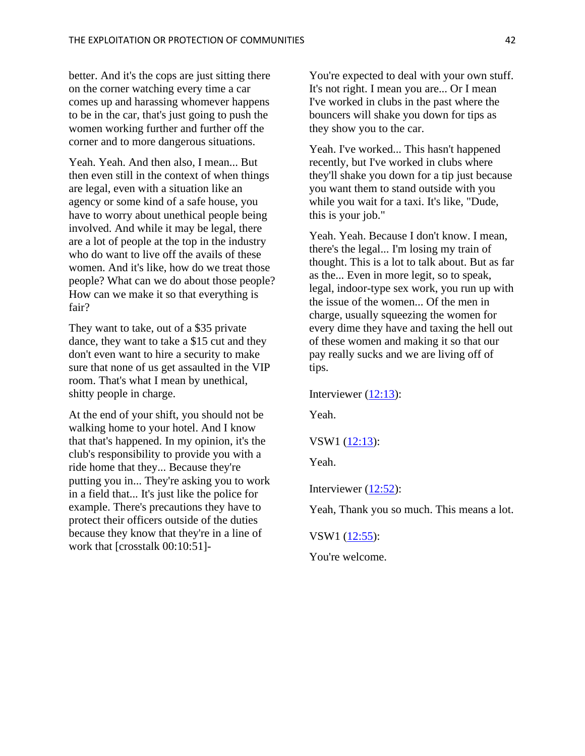better. And it's the cops are just sitting there on the corner watching every time a car comes up and harassing whomever happens to be in the car, that's just going to push the women working further and further off the corner and to more dangerous situations.

Yeah. Yeah. And then also, I mean... But then even still in the context of when things are legal, even with a situation like an agency or some kind of a safe house, you have to worry about unethical people being involved. And while it may be legal, there are a lot of people at the top in the industry who do want to live off the avails of these women. And it's like, how do we treat those people? What can we do about those people? How can we make it so that everything is fair?

They want to take, out of a \$35 private dance, they want to take a \$15 cut and they don't even want to hire a security to make sure that none of us get assaulted in the VIP room. That's what I mean by unethical, shitty people in charge.

At the end of your shift, you should not be walking home to your hotel. And I know that that's happened. In my opinion, it's the club's responsibility to provide you with a ride home that they... Because they're putting you in... They're asking you to work in a field that... It's just like the police for example. There's precautions they have to protect their officers outside of the duties because they know that they're in a line of work that [crosstalk 00:10:51]-

You're expected to deal with your own stuff. It's not right. I mean you are... Or I mean I've worked in clubs in the past where the bouncers will shake you down for tips as they show you to the car.

Yeah. I've worked... This hasn't happened recently, but I've worked in clubs where they'll shake you down for a tip just because you want them to stand outside with you while you wait for a taxi. It's like, "Dude, this is your job."

Yeah. Yeah. Because I don't know. I mean, there's the legal... I'm losing my train of thought. This is a lot to talk about. But as far as the... Even in more legit, so to speak, legal, indoor-type sex work, you run up with the issue of the women... Of the men in charge, usually squeezing the women for every dime they have and taxing the hell out of these women and making it so that our pay really sucks and we are living off of tips.

Interviewer [\(12:13\)](https://www.rev.com/transcript-editor/shared/BSIdljrvkAPQ86pphZhTt4dTr2jkehW8yFVPwC4U1uUxh3JmvEbhXB4IMooGmA99FI1ItoL9Zxk9FOaWUo5g-IbiAXY?loadFrom=DocumentDeeplink&ts=733.29):

Yeah.

VSW1 [\(12:13\)](https://www.rev.com/transcript-editor/shared/BSIdljrvkAPQ86pphZhTt4dTr2jkehW8yFVPwC4U1uUxh3JmvEbhXB4IMooGmA99FI1ItoL9Zxk9FOaWUo5g-IbiAXY?loadFrom=DocumentDeeplink&ts=733.29):

Yeah.

Interviewer [\(12:52\)](https://www.rev.com/transcript-editor/shared/BSIdljrvkAPQ86pphZhTt4dTr2jkehW8yFVPwC4U1uUxh3JmvEbhXB4IMooGmA99FI1ItoL9Zxk9FOaWUo5g-IbiAXY?loadFrom=DocumentDeeplink&ts=772.58):

Yeah, Thank you so much. This means a lot.

VSW1 [\(12:55\)](https://www.rev.com/transcript-editor/shared/BSIdljrvkAPQ86pphZhTt4dTr2jkehW8yFVPwC4U1uUxh3JmvEbhXB4IMooGmA99FI1ItoL9Zxk9FOaWUo5g-IbiAXY?loadFrom=DocumentDeeplink&ts=775.82):

You're welcome.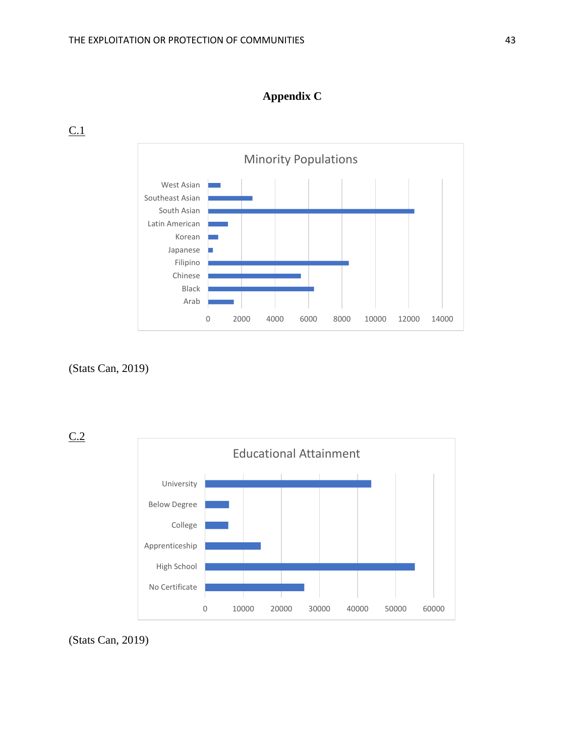

0 2000 4000 6000 8000 10000 12000 14000

# **Appendix C**

 $C<sub>1</sub>$ 

(Stats Can, 2019)

 $C.2$ 



(Stats Can, 2019)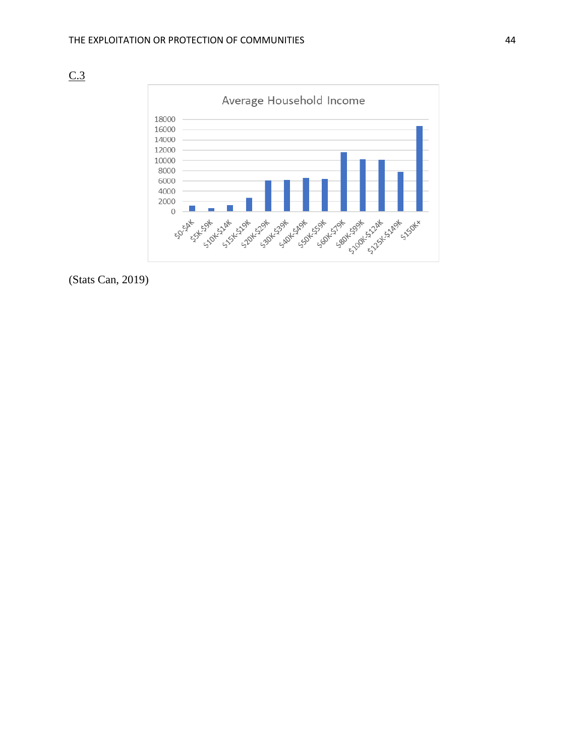



(Stats Can, 2019)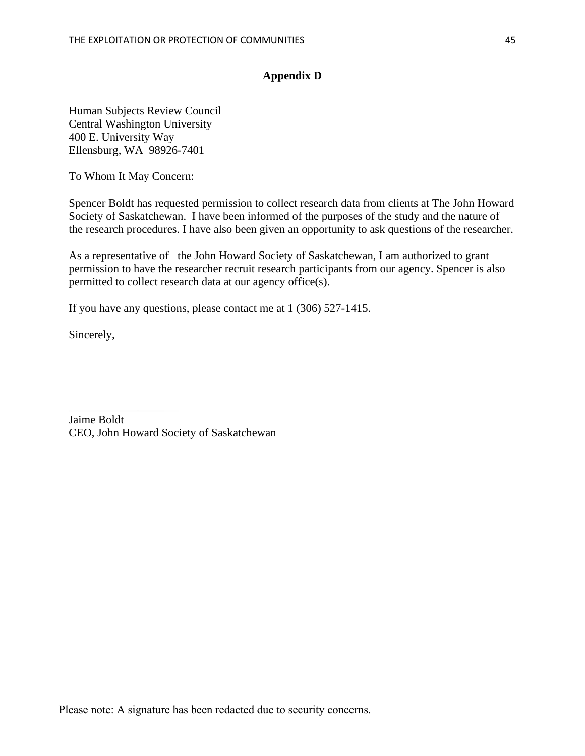# **Appendix D**

Human Subjects Review Council Central Washington University 400 E. University Way Ellensburg, WA 98926-7401

To Whom It May Concern:

Spencer Boldt has requested permission to collect research data from clients at The John Howard Society of Saskatchewan. I have been informed of the purposes of the study and the nature of the research procedures. I have also been given an opportunity to ask questions of the researcher.

As a representative of the John Howard Society of Saskatchewan, I am authorized to grant permission to have the researcher recruit research participants from our agency. Spencer is also permitted to collect research data at our agency office(s).

If you have any questions, please contact me at 1 (306) 527-1415.

Sincerely,

Jaime Boldt CEO, John Howard Society of Saskatchewan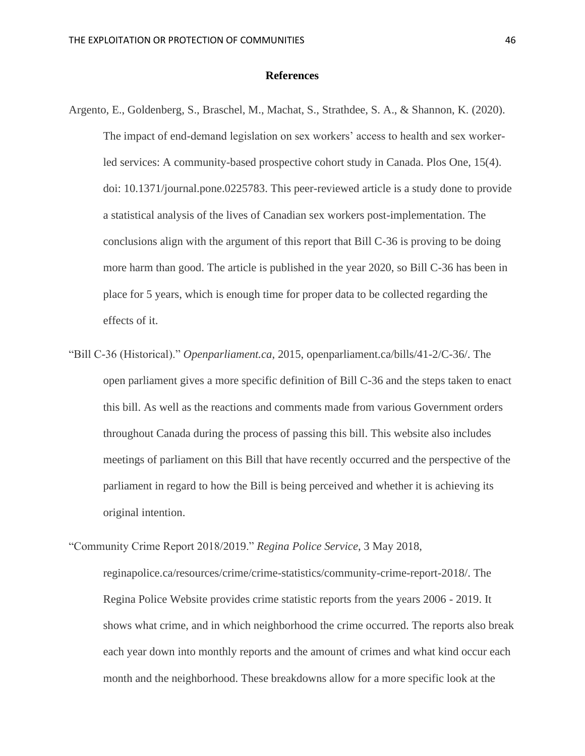#### **References**

- Argento, E., Goldenberg, S., Braschel, M., Machat, S., Strathdee, S. A., & Shannon, K. (2020). The impact of end-demand legislation on sex workers' access to health and sex workerled services: A community-based prospective cohort study in Canada. Plos One, 15(4). doi: 10.1371/journal.pone.0225783. This peer-reviewed article is a study done to provide a statistical analysis of the lives of Canadian sex workers post-implementation. The conclusions align with the argument of this report that Bill C-36 is proving to be doing more harm than good. The article is published in the year 2020, so Bill C-36 has been in place for 5 years, which is enough time for proper data to be collected regarding the effects of it.
- "Bill C-36 (Historical)." *Openparliament.ca*, 2015, openparliament.ca/bills/41-2/C-36/. The open parliament gives a more specific definition of Bill C-36 and the steps taken to enact this bill. As well as the reactions and comments made from various Government orders throughout Canada during the process of passing this bill. This website also includes meetings of parliament on this Bill that have recently occurred and the perspective of the parliament in regard to how the Bill is being perceived and whether it is achieving its original intention.

"Community Crime Report 2018/2019." *Regina Police Service*, 3 May 2018, reginapolice.ca/resources/crime/crime-statistics/community-crime-report-2018/. The

Regina Police Website provides crime statistic reports from the years 2006 - 2019. It shows what crime, and in which neighborhood the crime occurred. The reports also break each year down into monthly reports and the amount of crimes and what kind occur each month and the neighborhood. These breakdowns allow for a more specific look at the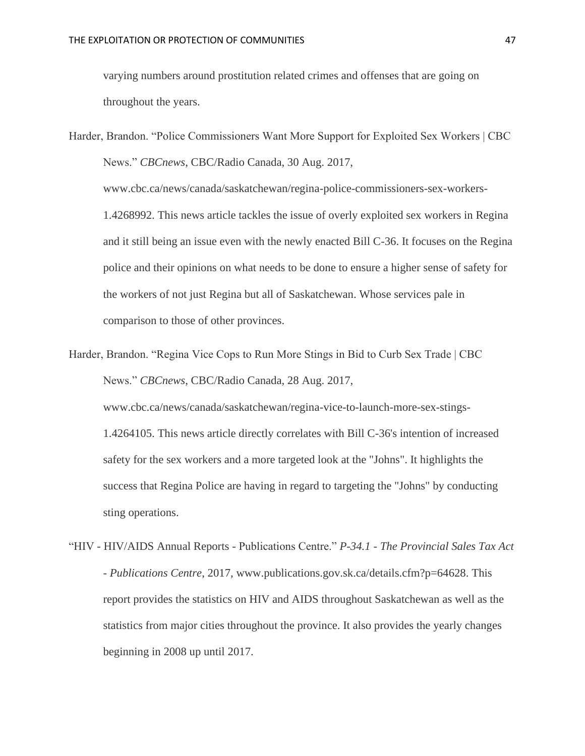varying numbers around prostitution related crimes and offenses that are going on throughout the years.

Harder, Brandon. "Police Commissioners Want More Support for Exploited Sex Workers | CBC News." *CBCnews*, CBC/Radio Canada, 30 Aug. 2017, www.cbc.ca/news/canada/saskatchewan/regina-police-commissioners-sex-workers-1.4268992. This news article tackles the issue of overly exploited sex workers in Regina and it still being an issue even with the newly enacted Bill C-36. It focuses on the Regina police and their opinions on what needs to be done to ensure a higher sense of safety for the workers of not just Regina but all of Saskatchewan. Whose services pale in comparison to those of other provinces.

Harder, Brandon. "Regina Vice Cops to Run More Stings in Bid to Curb Sex Trade | CBC News." *CBCnews*, CBC/Radio Canada, 28 Aug. 2017,

www.cbc.ca/news/canada/saskatchewan/regina-vice-to-launch-more-sex-stings-1.4264105. This news article directly correlates with Bill C-36's intention of increased safety for the sex workers and a more targeted look at the "Johns". It highlights the success that Regina Police are having in regard to targeting the "Johns" by conducting sting operations.

"HIV - HIV/AIDS Annual Reports - Publications Centre." *P-34.1 - The Provincial Sales Tax Act - Publications Centre*, 2017, www.publications.gov.sk.ca/details.cfm?p=64628. This report provides the statistics on HIV and AIDS throughout Saskatchewan as well as the statistics from major cities throughout the province. It also provides the yearly changes beginning in 2008 up until 2017.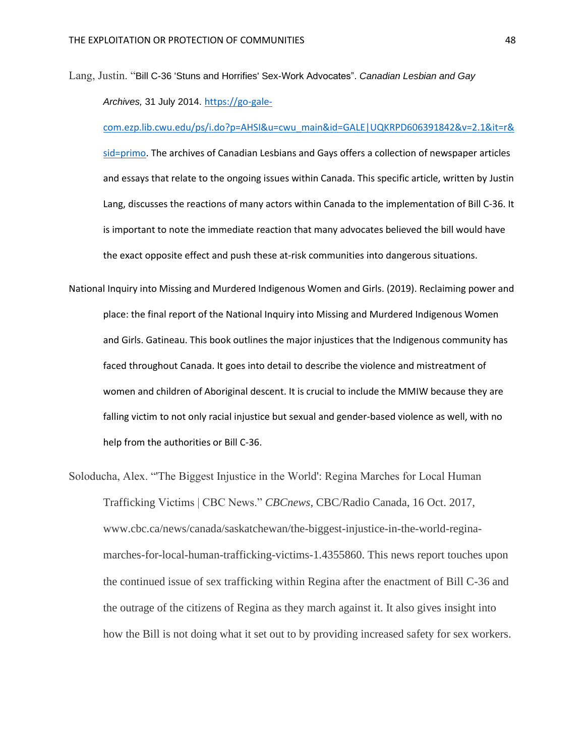Lang, Justin. "Bill C-36 'Stuns and Horrifies' Sex-Work Advocates". *Canadian Lesbian and Gay Archives,* 31 July 2014. [https://go-gale-](https://go-gale-com.ezp.lib.cwu.edu/ps/i.do?p=AHSI&u=cwu_main&id=GALE|UQKRPD606391842&v=2.1&it=r&sid=primo)

[com.ezp.lib.cwu.edu/ps/i.do?p=AHSI&u=cwu\\_main&id=GALE|UQKRPD606391842&v=2.1&it=r&](https://go-gale-com.ezp.lib.cwu.edu/ps/i.do?p=AHSI&u=cwu_main&id=GALE|UQKRPD606391842&v=2.1&it=r&sid=primo) [sid=primo.](https://go-gale-com.ezp.lib.cwu.edu/ps/i.do?p=AHSI&u=cwu_main&id=GALE|UQKRPD606391842&v=2.1&it=r&sid=primo) The archives of Canadian Lesbians and Gays offers a collection of newspaper articles and essays that relate to the ongoing issues within Canada. This specific article, written by Justin Lang, discusses the reactions of many actors within Canada to the implementation of Bill C-36. It is important to note the immediate reaction that many advocates believed the bill would have the exact opposite effect and push these at-risk communities into dangerous situations.

- National Inquiry into Missing and Murdered Indigenous Women and Girls. (2019). Reclaiming power and place: the final report of the National Inquiry into Missing and Murdered Indigenous Women and Girls. Gatineau. This book outlines the major injustices that the Indigenous community has faced throughout Canada. It goes into detail to describe the violence and mistreatment of women and children of Aboriginal descent. It is crucial to include the MMIW because they are falling victim to not only racial injustice but sexual and gender-based violence as well, with no help from the authorities or Bill C-36.
- Soloducha, Alex. "'The Biggest Injustice in the World': Regina Marches for Local Human Trafficking Victims | CBC News." *CBCnews*, CBC/Radio Canada, 16 Oct. 2017, www.cbc.ca/news/canada/saskatchewan/the-biggest-injustice-in-the-world-reginamarches-for-local-human-trafficking-victims-1.4355860. This news report touches upon the continued issue of sex trafficking within Regina after the enactment of Bill C-36 and the outrage of the citizens of Regina as they march against it. It also gives insight into how the Bill is not doing what it set out to by providing increased safety for sex workers.